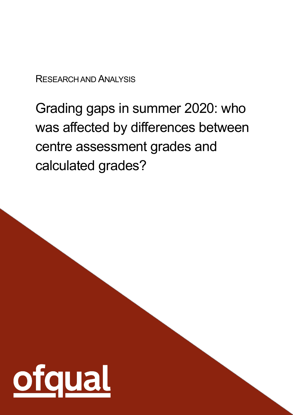RESEARCH AND ANALYSIS

Grading gaps in summer 2020: who was affected by differences between centre assessment grades and calculated grades?

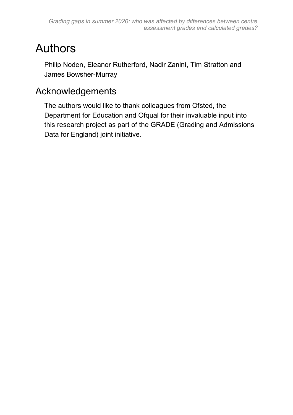### <span id="page-1-0"></span>Authors

Philip Noden, Eleanor Rutherford, Nadir Zanini, Tim Stratton and James Bowsher-Murray

### <span id="page-1-1"></span>Acknowledgements

The authors would like to thank colleagues from Ofsted, the Department for Education and Ofqual for their invaluable input into this research project as part of the GRADE (Grading and Admissions Data for England) joint initiative.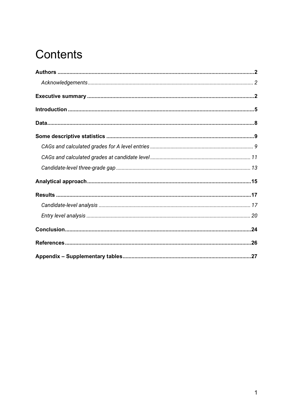### Contents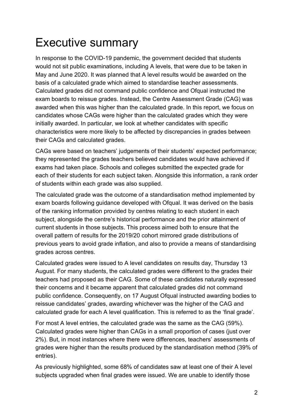### <span id="page-3-0"></span>Executive summary

In response to the COVID-19 pandemic, the government decided that students would not sit public examinations, including A levels, that were due to be taken in May and June 2020. It was planned that A level results would be awarded on the basis of a calculated grade which aimed to standardise teacher assessments. Calculated grades did not command public confidence and Ofqual instructed the exam boards to reissue grades. Instead, the Centre Assessment Grade (CAG) was awarded when this was higher than the calculated grade. In this report, we focus on candidates whose CAGs were higher than the calculated grades which they were initially awarded. In particular, we look at whether candidates with specific characteristics were more likely to be affected by discrepancies in grades between their CAGs and calculated grades.

CAGs were based on teachers' judgements of their students' expected performance; they represented the grades teachers believed candidates would have achieved if exams had taken place. Schools and colleges submitted the expected grade for each of their students for each subject taken. Alongside this information, a rank order of students within each grade was also supplied.

The calculated grade was the outcome of a standardisation method implemented by exam boards following guidance developed with Ofqual. It was derived on the basis of the ranking information provided by centres relating to each student in each subject, alongside the centre's historical performance and the prior attainment of current students in those subjects. This process aimed both to ensure that the overall pattern of results for the 2019/20 cohort mirrored grade distributions of previous years to avoid grade inflation, and also to provide a means of standardising grades across centres.

Calculated grades were issued to A level candidates on results day, Thursday 13 August. For many students, the calculated grades were different to the grades their teachers had proposed as their CAG. Some of these candidates naturally expressed their concerns and it became apparent that calculated grades did not command public confidence. Consequently, on 17 August Ofqual instructed awarding bodies to reissue candidates' grades, awarding whichever was the higher of the CAG and calculated grade for each A level qualification. This is referred to as the 'final grade'.

For most A level entries, the calculated grade was the same as the CAG (59%). Calculated grades were higher than CAGs in a small proportion of cases (just over 2%). But, in most instances where there were differences, teachers' assessments of grades were higher than the results produced by the standardisation method (39% of entries).

As previously highlighted, some 68% of candidates saw at least one of their A level subjects upgraded when final grades were issued. We are unable to identify those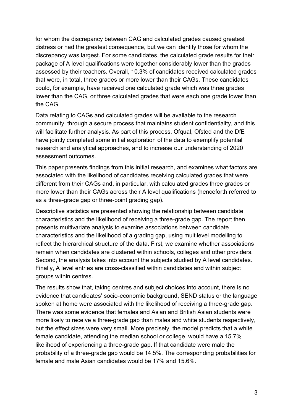for whom the discrepancy between CAG and calculated grades caused greatest distress or had the greatest consequence, but we can identify those for whom the discrepancy was largest. For some candidates, the calculated grade results for their package of A level qualifications were together considerably lower than the grades assessed by their teachers. Overall, 10.3% of candidates received calculated grades that were, in total, three grades or more lower than their CAGs. These candidates could, for example, have received one calculated grade which was three grades lower than the CAG, or three calculated grades that were each one grade lower than the CAG.

Data relating to CAGs and calculated grades will be available to the research community, through a secure process that maintains student confidentiality, and this will facilitate further analysis. As part of this process, Ofqual, Ofsted and the DfE have jointly completed some initial exploration of the data to exemplify potential research and analytical approaches, and to increase our understanding of 2020 assessment outcomes.

This paper presents findings from this initial research, and examines what factors are associated with the likelihood of candidates receiving calculated grades that were different from their CAGs and, in particular, with calculated grades three grades or more lower than their CAGs across their A level qualifications (henceforth referred to as a three-grade gap or three-point grading gap).

Descriptive statistics are presented showing the relationship between candidate characteristics and the likelihood of receiving a three-grade gap. The report then presents multivariate analysis to examine associations between candidate characteristics and the likelihood of a grading gap, using multilevel modelling to reflect the hierarchical structure of the data. First, we examine whether associations remain when candidates are clustered within schools, colleges and other providers. Second, the analysis takes into account the subjects studied by A level candidates. Finally, A level entries are cross-classified within candidates and within subject groups within centres.

The results show that, taking centres and subject choices into account, there is no evidence that candidates' socio-economic background, SEND status or the language spoken at home were associated with the likelihood of receiving a three-grade gap. There was some evidence that females and Asian and British Asian students were more likely to receive a three-grade gap than males and white students respectively, but the effect sizes were very small. More precisely, the model predicts that a white female candidate, attending the median school or college, would have a 15.7% likelihood of experiencing a three-grade gap. If that candidate were male the probability of a three-grade gap would be 14.5%. The corresponding probabilities for female and male Asian candidates would be 17% and 15.6%.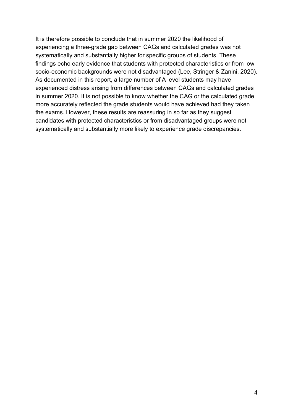It is therefore possible to conclude that in summer 2020 the likelihood of experiencing a three-grade gap between CAGs and calculated grades was not systematically and substantially higher for specific groups of students. These findings echo early evidence that students with protected characteristics or from low socio-economic backgrounds were not disadvantaged (Lee, Stringer & Zanini, 2020). As documented in this report, a large number of A level students may have experienced distress arising from differences between CAGs and calculated grades in summer 2020. It is not possible to know whether the CAG or the calculated grade more accurately reflected the grade students would have achieved had they taken the exams. However, these results are reassuring in so far as they suggest candidates with protected characteristics or from disadvantaged groups were not systematically and substantially more likely to experience grade discrepancies.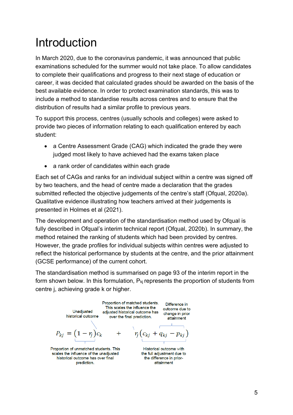### <span id="page-6-0"></span>Introduction

In March 2020, due to the coronavirus pandemic, it was announced that public examinations scheduled for the summer would not take place. To allow candidates to complete their qualifications and progress to their next stage of education or career, it was decided that calculated grades should be awarded on the basis of the best available evidence. In order to protect examination standards, this was to include a method to standardise results across centres and to ensure that the distribution of results had a similar profile to previous years.

To support this process, centres (usually schools and colleges) were asked to provide two pieces of information relating to each qualification entered by each student:

- a Centre Assessment Grade (CAG) which indicated the grade they were judged most likely to have achieved had the exams taken place
- a rank order of candidates within each grade

Each set of CAGs and ranks for an individual subject within a centre was signed off by two teachers, and the head of centre made a declaration that the grades submitted reflected the objective judgements of the centre's staff (Ofqual, 2020a). Qualitative evidence illustrating how teachers arrived at their judgements is presented in Holmes et al (2021).

The development and operation of the standardisation method used by Ofqual is fully described in Ofqual's interim technical report (Ofqual, 2020b). In summary, the method retained the ranking of students which had been provided by centres. However, the grade profiles for individual subjects within centres were adjusted to reflect the historical performance by students at the centre, and the prior attainment (GCSE performance) of the current cohort.

The standardisation method is summarised on page 93 of the interim report in the form shown below. In this formulation,  $P_{kj}$  represents the proportion of students from centre j, achieving grade k or higher.



prediction.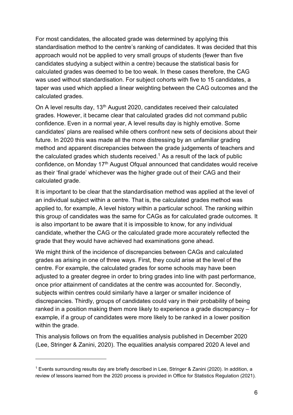For most candidates, the allocated grade was determined by applying this standardisation method to the centre's ranking of candidates. It was decided that this approach would not be applied to very small groups of students (fewer than five candidates studying a subject within a centre) because the statistical basis for calculated grades was deemed to be too weak. In these cases therefore, the CAG was used without standardisation. For subject cohorts with five to 15 candidates, a taper was used which applied a linear weighting between the CAG outcomes and the calculated grades.

On A level results day, 13<sup>th</sup> August 2020, candidates received their calculated grades. However, it became clear that calculated grades did not command public confidence. Even in a normal year, A level results day is highly emotive. Some candidates' plans are realised while others confront new sets of decisions about their future. In 2020 this was made all the more distressing by an unfamiliar grading method and apparent discrepancies between the grade judgements of teachers and the calculated grades which students received.<sup>1</sup> As a result of the lack of public confidence, on Monday 17<sup>th</sup> August Ofqual announced that candidates would receive as their 'final grade' whichever was the higher grade out of their CAG and their calculated grade.

It is important to be clear that the standardisation method was applied at the level of an individual subject within a centre. That is, the calculated grades method was applied to, for example, A level history within a particular school. The ranking within this group of candidates was the same for CAGs as for calculated grade outcomes. It is also important to be aware that it is impossible to know, for any individual candidate, whether the CAG or the calculated grade more accurately reflected the grade that they would have achieved had examinations gone ahead.

We might think of the incidence of discrepancies between CAGs and calculated grades as arising in one of three ways. First, they could arise at the level of the centre. For example, the calculated grades for some schools may have been adjusted to a greater degree in order to bring grades into line with past performance, once prior attainment of candidates at the centre was accounted for. Secondly, subjects within centres could similarly have a larger or smaller incidence of discrepancies. Thirdly, groups of candidates could vary in their probability of being ranked in a position making them more likely to experience a grade discrepancy – for example, if a group of candidates were more likely to be ranked in a lower position within the grade.

This analysis follows on from the equalities analysis published in December 2020 (Lee, Stringer & Zanini, 2020). The equalities analysis compared 2020 A level and

<sup>1</sup> Events surrounding results day are briefly described in Lee, Stringer & Zanini (2020). In addition, a review of lessons learned from the 2020 process is provided in Office for Statistics Regulation (2021).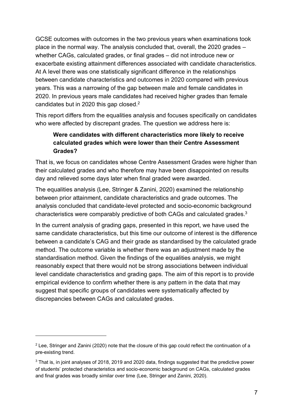GCSE outcomes with outcomes in the two previous years when examinations took place in the normal way. The analysis concluded that, overall, the 2020 grades – whether CAGs, calculated grades, or final grades – did not introduce new or exacerbate existing attainment differences associated with candidate characteristics. At A level there was one statistically significant difference in the relationships between candidate characteristics and outcomes in 2020 compared with previous years. This was a narrowing of the gap between male and female candidates in 2020. In previous years male candidates had received higher grades than female candidates but in 2020 this gap closed.<sup>2</sup>

This report differs from the equalities analysis and focuses specifically on candidates who were affected by discrepant grades. The question we address here is:

#### **Were candidates with different characteristics more likely to receive calculated grades which were lower than their Centre Assessment Grades?**

That is, we focus on candidates whose Centre Assessment Grades were higher than their calculated grades and who therefore may have been disappointed on results day and relieved some days later when final graded were awarded.

The equalities analysis (Lee, Stringer & Zanini, 2020) examined the relationship between prior attainment, candidate characteristics and grade outcomes. The analysis concluded that candidate-level protected and socio-economic background characteristics were comparably predictive of both CAGs and calculated grades.<sup>3</sup>

In the current analysis of grading gaps, presented in this report, we have used the same candidate characteristics, but this time our outcome of interest is the difference between a candidate's CAG and their grade as standardised by the calculated grade method. The outcome variable is whether there was an adjustment made by the standardisation method. Given the findings of the equalities analysis, we might reasonably expect that there would not be strong associations between individual level candidate characteristics and grading gaps. The aim of this report is to provide empirical evidence to confirm whether there is any pattern in the data that may suggest that specific groups of candidates were systematically affected by discrepancies between CAGs and calculated grades.

<sup>&</sup>lt;sup>2</sup> Lee, Stringer and Zanini (2020) note that the closure of this gap could reflect the continuation of a pre-existing trend.

<sup>&</sup>lt;sup>3</sup> That is, in joint analyses of 2018, 2019 and 2020 data, findings suggested that the predictive power of students' protected characteristics and socio-economic background on CAGs, calculated grades and final grades was broadly similar over time (Lee, Stringer and Zanini, 2020).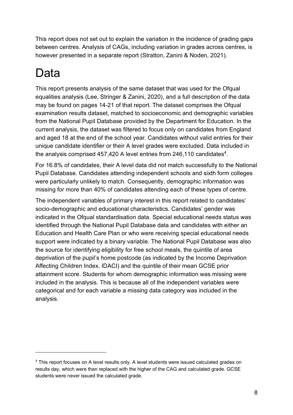This report does not set out to explain the variation in the incidence of grading gaps between centres. Analysis of CAGs, including variation in grades across centres, is however presented in a separate report (Stratton, Zanini & Noden, 2021).

## <span id="page-9-0"></span>Data

This report presents analysis of the same dataset that was used for the Ofqual equalities analysis (Lee, Stringer & Zanini, 2020), and a full description of the data may be found on pages 14-21 of that report. The dataset comprises the Ofqual examination results dataset, matched to socioeconomic and demographic variables from the National Pupil Database provided by the Department for Education. In the current analysis, the dataset was filtered to focus only on candidates from England and aged 18 at the end of the school year. Candidates without valid entries for their unique candidate identifier or their A level grades were excluded. Data included in the analysis comprised 457,420 A level entries from 246,110 candidates<sup>4</sup>.

For 16.8% of candidates, their A level data did not match successfully to the National Pupil Database. Candidates attending independent schools and sixth form colleges were particularly unlikely to match. Consequently, demographic information was missing for more than 40% of candidates attending each of these types of centre.

The independent variables of primary interest in this report related to candidates' socio-demographic and educational characteristics. Candidates' gender was indicated in the Ofqual standardisation data. Special educational needs status was identified through the National Pupil Database data and candidates with either an Education and Health Care Plan or who were receiving special educational needs support were indicated by a binary variable. The National Pupil Database was also the source for identifying eligibility for free school meals, the quintile of area deprivation of the pupil's home postcode (as indicated by the Income Deprivation Affecting Children Index, IDACI) and the quintile of their mean GCSE prior attainment score. Students for whom demographic information was missing were included in the analysis. This is because all of the independent variables were categorical and for each variable a missing data category was included in the analysis.

<sup>4</sup> This report focuses on A level results only. A level students were issued calculated grades on results day, which were than replaced with the higher of the CAG and calculated grade. GCSE students were never issued the calculated grade.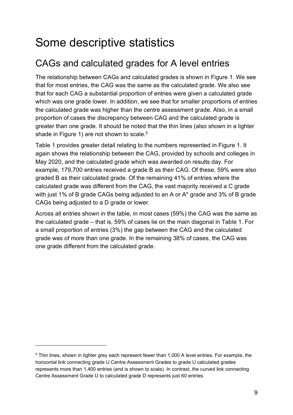### <span id="page-10-0"></span>Some descriptive statistics

### <span id="page-10-1"></span>CAGs and calculated grades for A level entries

The relationship between CAGs and calculated grades is shown in Figure 1. We see that for most entries, the CAG was the same as the calculated grade. We also see that for each CAG a substantial proportion of entries were given a calculated grade which was one grade lower. In addition, we see that for smaller proportions of entries the calculated grade was higher than the centre assessment grade. Also, in a small proportion of cases the discrepancy between CAG and the calculated grade is greater than one grade. It should be noted that the thin lines (also shown in a lighter shade in Figure 1) are not shown to scale.<sup>5</sup>

Table 1 provides greater detail relating to the numbers represented in Figure 1. It again shows the relationship between the CAG, provided by schools and colleges in May 2020, and the calculated grade which was awarded on results day. For example, 179,700 entries received a grade B as their CAG. Of these, 59% were also graded B as their calculated grade. Of the remaining 41% of entries where the calculated grade was different from the CAG, the vast majority received a C grade with just 1% of B grade CAGs being adjusted to an A or A\* grade and 3% of B grade CAGs being adjusted to a D grade or lower.

Across all entries shown in the table, in most cases (59%) the CAG was the same as the calculated grade – that is, 59% of cases lie on the main diagonal in Table 1. For a small proportion of entries (3%) the gap between the CAG and the calculated grade was of more than one grade. In the remaining 38% of cases, the CAG was one grade different from the calculated grade.

<sup>5</sup> Thin lines, shown in lighter grey each represent fewer than 1,000 A level entries. For example, the horizontal link connecting grade U Centre Assessment Grades to grade U calculated grades represents more than 1,400 entries (and is shown to scale). In contrast, the curved link connecting Centre Assessment Grade U to calculated grade D represents just 60 entries.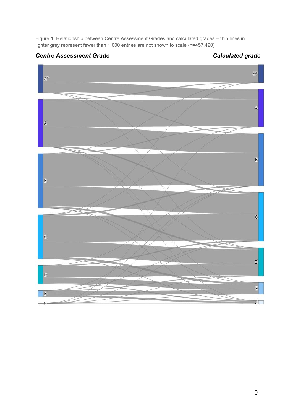Figure 1. Relationship between Centre Assessment Grades and calculated grades – thin lines in lighter grey represent fewer than 1,000 entries are not shown to scale (n=457,420)

### *Centre Assessment Grade Calculated grade*

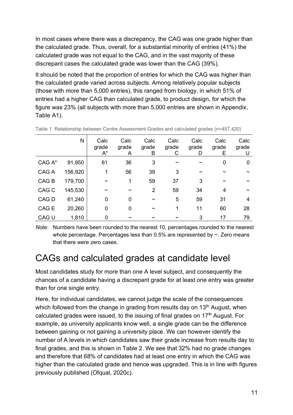In most cases where there was a discrepancy, the CAG was one grade higher than the calculated grade. Thus, overall, for a substantial minority of entries (41%) the calculated grade was not equal to the CAG, and in the vast majority of these discrepant cases the calculated grade was lower than the CAG (39%).

It should be noted that the proportion of entries for which the CAG was higher than the calculated grade varied across subjects. Among relatively popular subjects (those with more than 5,000 entries), this ranged from biology, in which 51% of entries had a higher CAG than calculated grade, to product design, for which the figure was 23% (all subjects with more than 5,000 entries are shown in Appendix, Table A1).

|                  | N       | Calc<br>grade<br>$A^*$ | Calc<br>grade<br>A | Calc<br>grade<br>Β    | Calc<br>grade<br>С    | Calc<br>grade<br>D    | Calc<br>grade<br>Е    | Calc<br>grade<br>U    |
|------------------|---------|------------------------|--------------------|-----------------------|-----------------------|-----------------------|-----------------------|-----------------------|
| CAG A*           | 91,950  | 61                     | 36                 | 3                     | $\tilde{\phantom{a}}$ | $\tilde{\phantom{a}}$ | 0                     | 0                     |
| CAG A            | 156,920 | 1                      | 56                 | 39                    | 3                     | $\tilde{\phantom{a}}$ | $\tilde{\phantom{a}}$ | $\tilde{\phantom{a}}$ |
| CAG <sub>B</sub> | 179,700 | $\tilde{\phantom{a}}$  | 1                  | 59                    | 37                    | 3                     | $\tilde{\phantom{a}}$ | $\tilde{\phantom{a}}$ |
| CAG <sub>C</sub> | 145,530 | $\tilde{\phantom{a}}$  | $\tilde{}$         | 2                     | 59                    | 34                    | 4                     | $\tilde{\phantom{a}}$ |
| CAG D            | 61,240  | $\mathbf 0$            | 0                  | $\tilde{\phantom{a}}$ | 5                     | 59                    | 31                    | 4                     |
| CAG E            | 20,260  | 0                      | 0                  | $\tilde{\phantom{a}}$ | 1                     | 11                    | 60                    | 28                    |
| CAG U            | 1,810   | 0                      |                    |                       |                       | 3                     | 17                    | 79                    |

Table 1. Relationship between Centre Assessment Grades and calculated grades (n=457,420)

*Note:* Numbers have been rounded to the nearest 10, percentages rounded to the nearest whole percentage. Percentages less than  $0.5\%$  are represented by  $\sim$ . Zero means that there were zero cases.

### <span id="page-12-0"></span>CAGs and calculated grades at candidate level

Most candidates study for more than one A level subject, and consequently the chances of a candidate having a discrepant grade for at least one entry was greater than for one single entry.

Here, for individual candidates, we cannot judge the scale of the consequences which followed from the change in grading from results day on 13<sup>th</sup> August, when calculated grades were issued, to the issuing of final grades on  $17<sup>th</sup>$  August. For example, as university applicants know well, a single grade can be the difference between gaining or not gaining a university place. We can however identify the number of A levels in which candidates saw their grade increase from results day to final grades, and this is shown in Table 2. We see that 32% had no grade changes and therefore that 68% of candidates had at least one entry in which the CAG was higher than the calculated grade and hence was upgraded. This is in line with figures previously published (Ofqual, 2020c).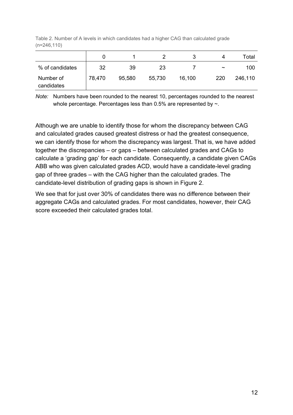Table 2. Number of A levels in which candidates had a higher CAG than calculated grade (n=246,110)

|                         |        |        |        |        | Δ                     | Total   |
|-------------------------|--------|--------|--------|--------|-----------------------|---------|
| % of candidates         | 32     | 39     | 23     |        | $\tilde{\phantom{a}}$ | 100     |
| Number of<br>candidates | 78,470 | 95,580 | 55,730 | 16,100 | 220                   | 246,110 |

*Note:* Numbers have been rounded to the nearest 10, percentages rounded to the nearest whole percentage. Percentages less than 0.5% are represented by  $\sim$ .

Although we are unable to identify those for whom the discrepancy between CAG and calculated grades caused greatest distress or had the greatest consequence, we can identify those for whom the discrepancy was largest. That is, we have added together the discrepancies – or gaps – between calculated grades and CAGs to calculate a 'grading gap' for each candidate. Consequently, a candidate given CAGs ABB who was given calculated grades ACD, would have a candidate-level grading gap of three grades – with the CAG higher than the calculated grades. The candidate-level distribution of grading gaps is shown in Figure 2.

We see that for just over 30% of candidates there was no difference between their aggregate CAGs and calculated grades. For most candidates, however, their CAG score exceeded their calculated grades total.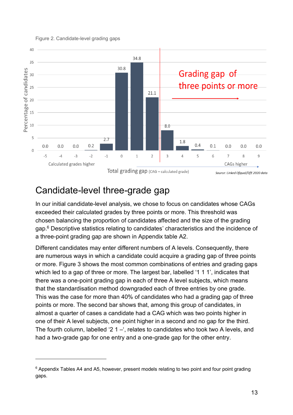

#### Figure 2. Candidate-level grading gaps

<span id="page-14-0"></span>Candidate-level three-grade gap

In our initial candidate-level analysis, we chose to focus on candidates whose CAGs exceeded their calculated grades by three points or more. This threshold was chosen balancing the proportion of candidates affected and the size of the grading gap.<sup>6</sup> Descriptive statistics relating to candidates' characteristics and the incidence of a three-point grading gap are shown in Appendix table A2.

Different candidates may enter different numbers of A levels. Consequently, there are numerous ways in which a candidate could acquire a grading gap of three points or more. Figure 3 shows the most common combinations of entries and grading gaps which led to a gap of three or more. The largest bar, labelled '1 1 1', indicates that there was a one-point grading gap in each of three A level subjects, which means that the standardisation method downgraded each of three entries by one grade. This was the case for more than 40% of candidates who had a grading gap of three points or more. The second bar shows that, among this group of candidates, in almost a quarter of cases a candidate had a CAG which was two points higher in one of their A level subjects, one point higher in a second and no gap for the third. The fourth column, labelled '2 1 –', relates to candidates who took two A levels, and had a two-grade gap for one entry and a one-grade gap for the other entry.

 $6$  Appendix Tables A4 and A5, however, present models relating to two point and four point grading gaps.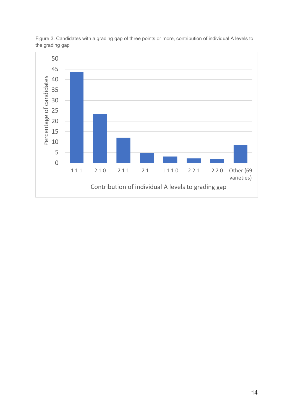

Figure 3. Candidates with a grading gap of three points or more, contribution of individual A levels to the grading gap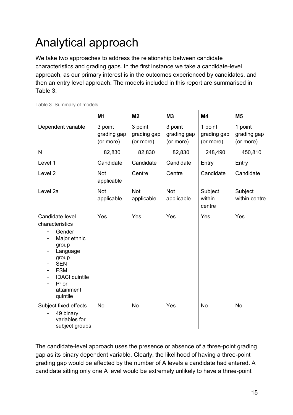### <span id="page-16-0"></span>Analytical approach

We take two approaches to address the relationship between candidate characteristics and grading gaps. In the first instance we take a candidate-level approach, as our primary interest is in the outcomes experienced by candidates, and then an entry level approach. The models included in this report are summarised in Table 3.

|                                                                                                                                                                                                                | M <sub>1</sub>                      | M <sub>2</sub>                      | M3                                  | M <sub>4</sub>                      | M <sub>5</sub>                      |
|----------------------------------------------------------------------------------------------------------------------------------------------------------------------------------------------------------------|-------------------------------------|-------------------------------------|-------------------------------------|-------------------------------------|-------------------------------------|
| Dependent variable                                                                                                                                                                                             | 3 point<br>grading gap<br>(or more) | 3 point<br>grading gap<br>(or more) | 3 point<br>grading gap<br>(or more) | 1 point<br>grading gap<br>(or more) | 1 point<br>grading gap<br>(or more) |
| $\mathsf{N}$                                                                                                                                                                                                   | 82,830                              | 82,830                              | 82,830                              | 248,490                             | 450,810                             |
| Level 1                                                                                                                                                                                                        | Candidate                           | Candidate                           | Candidate                           | Entry                               | Entry                               |
| Level <sub>2</sub>                                                                                                                                                                                             | <b>Not</b><br>applicable            | Centre                              | Centre                              | Candidate                           | Candidate                           |
| Level 2a                                                                                                                                                                                                       | <b>Not</b><br>applicable            | <b>Not</b><br>applicable            | Not<br>applicable                   | Subject<br>within<br>centre         | Subject<br>within centre            |
| Candidate-level<br>characteristics<br>Gender<br>Major ethnic<br>group<br>Language<br>$\overline{\phantom{a}}$<br>group<br><b>SEN</b><br><b>FSM</b><br><b>IDACI</b> quintile<br>Prior<br>attainment<br>quintile | Yes                                 | Yes                                 | Yes                                 | Yes                                 | Yes                                 |
| Subject fixed effects<br>49 binary<br>variables for<br>subject groups                                                                                                                                          | <b>No</b>                           | <b>No</b>                           | Yes                                 | <b>No</b>                           | <b>No</b>                           |

Table 3. Summary of models

The candidate-level approach uses the presence or absence of a three-point grading gap as its binary dependent variable. Clearly, the likelihood of having a three-point grading gap would be affected by the number of A levels a candidate had entered. A candidate sitting only one A level would be extremely unlikely to have a three-point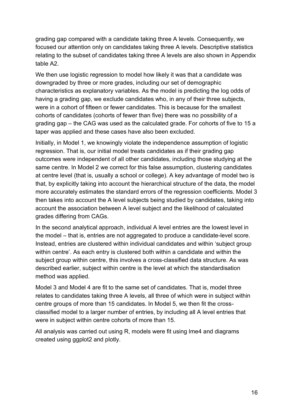grading gap compared with a candidate taking three A levels. Consequently, we focused our attention only on candidates taking three A levels. Descriptive statistics relating to the subset of candidates taking three A levels are also shown in Appendix table A2.

We then use logistic regression to model how likely it was that a candidate was downgraded by three or more grades, including our set of demographic characteristics as explanatory variables. As the model is predicting the log odds of having a grading gap, we exclude candidates who, in any of their three subjects, were in a cohort of fifteen or fewer candidates. This is because for the smallest cohorts of candidates (cohorts of fewer than five) there was no possibility of a grading gap – the CAG was used as the calculated grade. For cohorts of five to 15 a taper was applied and these cases have also been excluded.

Initially, in Model 1, we knowingly violate the independence assumption of logistic regression. That is, our initial model treats candidates as if their grading gap outcomes were independent of all other candidates, including those studying at the same centre. In Model 2 we correct for this false assumption, clustering candidates at centre level (that is, usually a school or college). A key advantage of model two is that, by explicitly taking into account the hierarchical structure of the data, the model more accurately estimates the standard errors of the regression coefficients. Model 3 then takes into account the A level subjects being studied by candidates, taking into account the association between A level subject and the likelihood of calculated grades differing from CAGs.

In the second analytical approach, individual A level entries are the lowest level in the model – that is, entries are not aggregated to produce a candidate-level score. Instead, entries are clustered within individual candidates and within 'subject group within centre'. As each entry is clustered both within a candidate and within the subject group within centre, this involves a cross-classified data structure. As was described earlier, subject within centre is the level at which the standardisation method was applied.

Model 3 and Model 4 are fit to the same set of candidates. That is, model three relates to candidates taking three A levels, all three of which were in subject within centre groups of more than 15 candidates. In Model 5, we then fit the crossclassified model to a larger number of entries, by including all A level entries that were in subject within centre cohorts of more than 15.

All analysis was carried out using R, models were fit using lme4 and diagrams created using ggplot2 and plotly.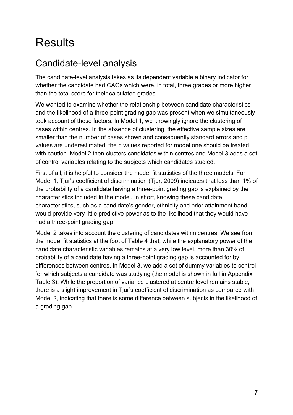### <span id="page-18-0"></span>**Results**

### <span id="page-18-1"></span>Candidate-level analysis

The candidate-level analysis takes as its dependent variable a binary indicator for whether the candidate had CAGs which were, in total, three grades or more higher than the total score for their calculated grades.

We wanted to examine whether the relationship between candidate characteristics and the likelihood of a three-point grading gap was present when we simultaneously took account of these factors. In Model 1, we knowingly ignore the clustering of cases within centres. In the absence of clustering, the effective sample sizes are smaller than the number of cases shown and consequently standard errors and p values are underestimated; the p values reported for model one should be treated with caution. Model 2 then clusters candidates within centres and Model 3 adds a set of control variables relating to the subjects which candidates studied.

First of all, it is helpful to consider the model fit statistics of the three models. For Model 1. Tiur's coefficient of discrimination (Tiur, 2009) indicates that less than 1% of the probability of a candidate having a three-point grading gap is explained by the characteristics included in the model. In short, knowing these candidate characteristics, such as a candidate's gender, ethnicity and prior attainment band, would provide very little predictive power as to the likelihood that they would have had a three-point grading gap.

Model 2 takes into account the clustering of candidates within centres. We see from the model fit statistics at the foot of Table 4 that, while the explanatory power of the candidate characteristic variables remains at a very low level, more than 30% of probability of a candidate having a three-point grading gap is accounted for by differences between centres. In Model 3, we add a set of dummy variables to control for which subjects a candidate was studying (the model is shown in full in Appendix Table 3). While the proportion of variance clustered at centre level remains stable, there is a slight improvement in Tiur's coefficient of discrimination as compared with Model 2, indicating that there is some difference between subjects in the likelihood of a grading gap.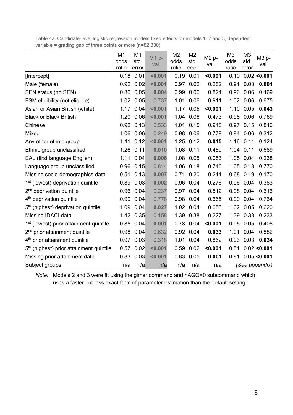Table 4a. Candidate-level logistic regression models fixed effects for models 1, 2 and 3, dependent variable = grading gap of three points or more (n=82,830)

|                                                     | M <sub>1</sub><br>odds<br>ratio | M1<br>std.<br>error | $M1p-$<br>val. | M <sub>2</sub><br>odds<br>ratio | M <sub>2</sub><br>std.<br>error | M2 p-<br>val. | M <sub>3</sub><br>odds<br>ratio | M <sub>3</sub><br>std.<br>error | M3 p-<br>val.  |
|-----------------------------------------------------|---------------------------------|---------------------|----------------|---------------------------------|---------------------------------|---------------|---------------------------------|---------------------------------|----------------|
| [Intercept]                                         | 0.18                            | 0.01                | < 0.001        | 0.19                            | 0.01                            | < 0.001       | 0.19                            |                                 | 0.02 < 0.001   |
| Male (female)                                       | 0.92                            | 0.02                | < 0.001        | 0.97                            | 0.02                            | 0.252         | 0.91                            | 0.03                            | 0.001          |
| SEN status (no SEN)                                 | 0.86                            | 0.05                | 0.004          | 0.99                            | 0.06                            | 0.824         | 0.96                            | 0.06                            | 0.469          |
| FSM eligibility (not eligible)                      | 1.02                            | 0.05                | 0.737          | 1.01                            | 0.06                            | 0.911         | 1.02                            | 0.06                            | 0.675          |
| Asian or Asian British (white)                      | 1.17                            | 0.04                | < 0.001        | 1.17                            | 0.05                            | < 0.001       | 1.10                            | 0.05                            | 0.043          |
| <b>Black or Black British</b>                       | 1.20                            | 0.06                | < 0.001        | 1.04                            | 0.06                            | 0.473         | 0.98                            | 0.06                            | 0.769          |
| Chinese                                             |                                 | 0.92 0.13           | 0.533          | 1.01                            | 0.15                            | 0.948         | 0.97                            | 0.15                            | 0.846          |
| Mixed                                               | 1.06                            | 0.06                | 0.249          | 0.98                            | 0.06                            | 0.779         |                                 | 0.94 0.06                       | 0.312          |
| Any other ethnic group                              | 1.41                            | 0.12                | < 0.001        | 1.25                            | 0.12                            | 0.015         | 1.16                            | 0.11                            | 0.124          |
| Ethnic group unclassified                           | 1.26                            | 0.11                | 0.010          | 1.08                            | 0.11                            | 0.489         |                                 | 1.04 0.11                       | 0.689          |
| EAL (first language English)                        | 1.11                            | 0.04                | 0.006          | 1.08                            | 0.05                            | 0.053         | 1.05                            | 0.04                            | 0.238          |
| Language group unclassified                         | 0.96                            | 0.15                | 0.814          | 1.06                            | 0.18                            | 0.740         | 1.05                            | 0.18                            | 0.770          |
| Missing socio-demographics data                     | 0.51                            | 0.13                | 0.007          | 0.71                            | 0.20                            | 0.214         | 0.68                            | 0.19                            | 0.170          |
| 1 <sup>st</sup> (lowest) deprivation quintile       | 0.89                            | 0.03                | 0.002          | 0.96                            | 0.04                            | 0.276         | 0.96                            | 0.04                            | 0.383          |
| $2nd$ deprivation quintile                          | 0.96                            | 0.04                | 0.237          | 0.97                            | 0.04                            | 0.512         | 0.98                            | 0.04                            | 0.616          |
| 4 <sup>th</sup> deprivation quintile                | 0.99                            | 0.04                | 0.778          | 0.98                            | 0.04                            | 0.665         | 0.99                            | 0.04                            | 0.764          |
| 5 <sup>th</sup> (highest) deprivation quintile      | 1.09                            | 0.04                | 0.027          | 1.02                            | 0.04                            | 0.655         | 1.02                            | 0.05                            | 0.620          |
| Missing IDACI data                                  | 1.42                            | 0.35                | 0.158          |                                 | 1.39 0.38                       | 0.227         | 1.39                            | 0.38                            | 0.233          |
| 1 <sup>st</sup> (lowest) prior attainment quintile  | 0.85                            | 0.04                | 0.001          | 0.78                            | 0.04                            | < 0.001       | 0.95                            | 0.05                            | 0.408          |
| 2 <sup>nd</sup> prior attainment quintile           | 0.98                            | 0.04                | 0.632          | 0.92                            | 0.04                            | 0.033         | 1.01                            | 0.04                            | 0.882          |
| 4 <sup>th</sup> prior attainment quintile           | 0.97                            | 0.03                | 0.318          | 1.01                            | 0.04                            | 0.862         | 0.93                            | 0.03                            | 0.034          |
| 5 <sup>th</sup> (highest) prior attainment quintile | 0.57                            | 0.02                | < 0.001        | 0.59                            | 0.02                            | < 0.001       | 0.51                            |                                 | 0.02 < 0.001   |
| Missing prior attainment data                       | 0.83                            | 0.03                | < 0.001        | 0.83                            | 0.05                            | 0.001         | 0.81                            |                                 | 0.05 < 0.001   |
| Subject groups                                      | n/a                             | n/a                 | n/a            | n/a                             | n/a                             | n/a           |                                 |                                 | (See appendix) |

*Note:* Models 2 and 3 were fit using the glmer command and nAGQ=0 subcommand which uses a faster but less exact form of parameter estimation than the default setting.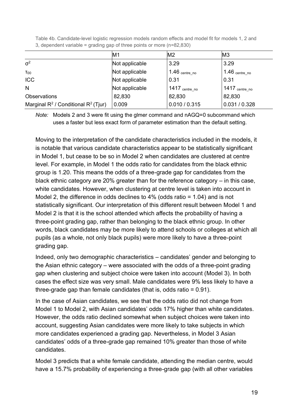Table 4b. Candidate-level logistic regression models random effects and model fit for models 1, 2 and 3, dependent variable = grading gap of three points or more (n=82,830)

|                                           | M1             | M <sub>2</sub>             | M <sub>3</sub>             |
|-------------------------------------------|----------------|----------------------------|----------------------------|
| $\sigma^2$                                | Not applicable | 3.29                       | 3.29                       |
| $T_{00}$                                  | Not applicable | $1.46$ centre no           | $1.46$ $\text{centre\_no}$ |
| <b>ICC</b>                                | Not applicable | 0.31                       | 0.31                       |
| N                                         | Not applicable | $1417$ $\text{centre\_no}$ | $1417$ centre_no           |
| Observations                              | 82,830         | 82,830                     | 82,830                     |
| Marginal $R^2$ / Conditional $R^2$ (Tjur) | 0.009          | 0.010 / 0.315              | 0.031 / 0.328              |

*Note:* Models 2 and 3 were fit using the glmer command and nAGQ=0 subcommand which uses a faster but less exact form of parameter estimation than the default setting.

Moving to the interpretation of the candidate characteristics included in the models, it is notable that various candidate characteristics appear to be statistically significant in Model 1, but cease to be so in Model 2 when candidates are clustered at centre level. For example, in Model 1 the odds ratio for candidates from the black ethnic group is 1.20. This means the odds of a three-grade gap for candidates from the black ethnic category are 20% greater than for the reference category – in this case, white candidates. However, when clustering at centre level is taken into account in Model 2, the difference in odds declines to 4% (odds ratio = 1.04) and is not statistically significant. Our interpretation of this different result between Model 1 and Model 2 is that it is the school attended which affects the probability of having a three-point grading gap, rather than belonging to the black ethnic group. In other words, black candidates may be more likely to attend schools or colleges at which all pupils (as a whole, not only black pupils) were more likely to have a three-point grading gap.

Indeed, only two demographic characteristics – candidates' gender and belonging to the Asian ethnic category – were associated with the odds of a three-point grading gap when clustering and subject choice were taken into account (Model 3). In both cases the effect size was very small. Male candidates were 9% less likely to have a three-grade gap than female candidates (that is, odds ratio = 0.91).

In the case of Asian candidates, we see that the odds ratio did not change from Model 1 to Model 2, with Asian candidates' odds 17% higher than white candidates. However, the odds ratio declined somewhat when subject choices were taken into account, suggesting Asian candidates were more likely to take subjects in which more candidates experienced a grading gap. Nevertheless, in Model 3 Asian candidates' odds of a three-grade gap remained 10% greater than those of white candidates.

Model 3 predicts that a white female candidate, attending the median centre, would have a 15.7% probability of experiencing a three-grade gap (with all other variables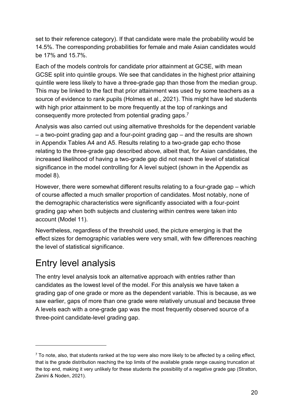set to their reference category). If that candidate were male the probability would be 14.5%. The corresponding probabilities for female and male Asian candidates would be 17% and 15.7%.

Each of the models controls for candidate prior attainment at GCSE, with mean GCSE split into quintile groups. We see that candidates in the highest prior attaining quintile were less likely to have a three-grade gap than those from the median group. This may be linked to the fact that prior attainment was used by some teachers as a source of evidence to rank pupils (Holmes et al., 2021). This might have led students with high prior attainment to be more frequently at the top of rankings and consequently more protected from potential grading gaps.<sup>7</sup>

Analysis was also carried out using alternative thresholds for the dependent variable – a two-point grading gap and a four-point grading gap – and the results are shown in Appendix Tables A4 and A5. Results relating to a two-grade gap echo those relating to the three-grade gap described above, albeit that, for Asian candidates, the increased likelihood of having a two-grade gap did not reach the level of statistical significance in the model controlling for A level subject (shown in the Appendix as model 8).

However, there were somewhat different results relating to a four-grade gap – which of course affected a much smaller proportion of candidates. Most notably, none of the demographic characteristics were significantly associated with a four-point grading gap when both subjects and clustering within centres were taken into account (Model 11).

Nevertheless, regardless of the threshold used, the picture emerging is that the effect sizes for demographic variables were very small, with few differences reaching the level of statistical significance.

### <span id="page-21-0"></span>Entry level analysis

The entry level analysis took an alternative approach with entries rather than candidates as the lowest level of the model. For this analysis we have taken a grading gap of one grade or more as the dependent variable. This is because, as we saw earlier, gaps of more than one grade were relatively unusual and because three A levels each with a one-grade gap was the most frequently observed source of a three-point candidate-level grading gap.

 $7$  To note, also, that students ranked at the top were also more likely to be affected by a ceiling effect, that is the grade distribution reaching the top limits of the available grade range causing truncation at the top end, making it very unlikely for these students the possibility of a negative grade gap (Stratton, Zanini & Noden, 2021).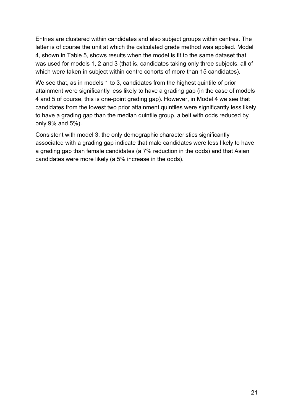Entries are clustered within candidates and also subject groups within centres. The latter is of course the unit at which the calculated grade method was applied. Model 4, shown in Table 5, shows results when the model is fit to the same dataset that was used for models 1, 2 and 3 (that is, candidates taking only three subjects, all of which were taken in subject within centre cohorts of more than 15 candidates).

We see that, as in models 1 to 3, candidates from the highest quintile of prior attainment were significantly less likely to have a grading gap (in the case of models 4 and 5 of course, this is one-point grading gap). However, in Model 4 we see that candidates from the lowest two prior attainment quintiles were significantly less likely to have a grading gap than the median quintile group, albeit with odds reduced by only 9% and 5%).

Consistent with model 3, the only demographic characteristics significantly associated with a grading gap indicate that male candidates were less likely to have a grading gap than female candidates (a 7% reduction in the odds) and that Asian candidates were more likely (a 5% increase in the odds).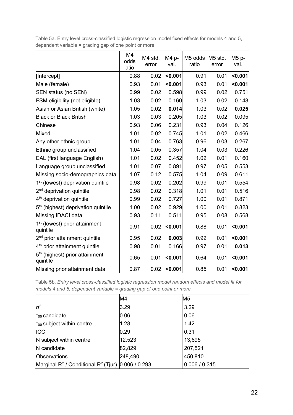|                                                        | M4<br>odds<br>atio | M4 std.<br>error | M4 p-<br>val. | M5 odds M5 std.<br>ratio | error | M5 p-<br>val. |
|--------------------------------------------------------|--------------------|------------------|---------------|--------------------------|-------|---------------|
| [Intercept]                                            | 0.88               | 0.02             | < 0.001       | 0.91                     | 0.01  | < 0.001       |
| Male (female)                                          | 0.93               | 0.01             | < 0.001       | 0.93                     | 0.01  | < 0.001       |
| SEN status (no SEN)                                    | 0.99               | 0.02             | 0.598         | 0.99                     | 0.02  | 0.751         |
| FSM eligibility (not eligible)                         | 1.03               | 0.02             | 0.160         | 1.03                     | 0.02  | 0.148         |
| Asian or Asian British (white)                         | 1.05               | 0.02             | 0.014         | 1.03                     | 0.02  | 0.025         |
| <b>Black or Black British</b>                          | 1.03               | 0.03             | 0.205         | 1.03                     | 0.02  | 0.095         |
| Chinese                                                | 0.93               | 0.06             | 0.231         | 0.93                     | 0.04  | 0.126         |
| Mixed                                                  | 1.01               | 0.02             | 0.745         | 1.01                     | 0.02  | 0.466         |
| Any other ethnic group                                 | 1.01               | 0.04             | 0.763         | 0.96                     | 0.03  | 0.267         |
| Ethnic group unclassified                              | 1.04               | 0.05             | 0.357         | 1.04                     | 0.03  | 0.226         |
| EAL (first language English)                           | 1.01               | 0.02             | 0.452         | 1.02                     | 0.01  | 0.160         |
| Language group unclassified                            | 1.01               | 0.07             | 0.891         | 0.97                     | 0.05  | 0.553         |
| Missing socio-demographics data                        | 1.07               | 0.12             | 0.575         | 1.04                     | 0.09  | 0.611         |
| 1 <sup>st</sup> (lowest) deprivation quintile          | 0.98               | 0.02             | 0.202         | 0.99                     | 0.01  | 0.554         |
| $2nd$ deprivation quintile                             | 0.98               | 0.02             | 0.318         | 1.01                     | 0.01  | 0.516         |
| 4 <sup>th</sup> deprivation quintile                   | 0.99               | 0.02             | 0.727         | 1.00                     | 0.01  | 0.871         |
| 5 <sup>th</sup> (highest) deprivation quintile         | 1.00               | 0.02             | 0.929         | 1.00                     | 0.01  | 0.823         |
| Missing IDACI data                                     | 0.93               | 0.11             | 0.511         | 0.95                     | 0.08  | 0.568         |
| 1 <sup>st</sup> (lowest) prior attainment<br>quintile  | 0.91               | 0.02             | < 0.001       | 0.88                     | 0.01  | < 0.001       |
| 2 <sup>nd</sup> prior attainment quintile              | 0.95               | 0.02             | 0.003         | 0.92                     | 0.01  | < 0.001       |
| 4 <sup>th</sup> prior attainment quintile              | 0.98               | 0.01             | 0.166         | 0.97                     | 0.01  | 0.013         |
| 5 <sup>th</sup> (highest) prior attainment<br>quintile | 0.65               | 0.01             | < 0.001       | 0.64                     | 0.01  | < 0.001       |
| Missing prior attainment data                          | 0.87               | 0.02             | < 0.001       | 0.85                     | 0.01  | < 0.001       |

Table 5a. Entry level cross-classified logistic regression model fixed effects for models 4 and 5, dependent variable = grading gap of one point or more

Table 5b. *Entry level cross-classified logistic regression model random effects and model fit for models 4 and 5, dependent variable = grading gap of one point or more*

|                                                         | M <sub>4</sub> | M <sub>5</sub> |
|---------------------------------------------------------|----------------|----------------|
| $\sigma^2$                                              | 3.29           | 3.29           |
| $T00$ candidate                                         | 0.06           | 0.06           |
| T <sub>00</sub> subject within centre                   | 1.28           | 1.42           |
| <b>ICC</b>                                              | 0.29           | 0.31           |
| N subject within centre                                 | 12,523         | 13,695         |
| N candidate                                             | 82,829         | 207,521        |
| Observations                                            | 248,490        | 450,810        |
| Marginal $R^2$ / Conditional $R^2$ (Tjur) 0.006 / 0.293 |                | 0.006 / 0.315  |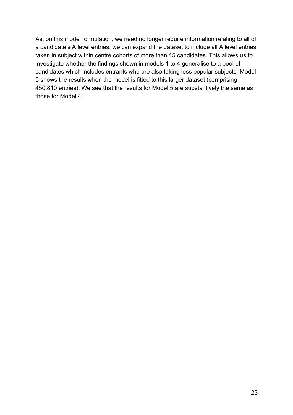As, on this model formulation, we need no longer require information relating to all of a candidate's A level entries, we can expand the dataset to include all A level entries taken in subject within centre cohorts of more than 15 candidates. This allows us to investigate whether the findings shown in models 1 to 4 generalise to a pool of candidates which includes entrants who are also taking less popular subjects. Model 5 shows the results when the model is fitted to this larger dataset (comprising 450,810 entries). We see that the results for Model 5 are substantively the same as those for Model 4.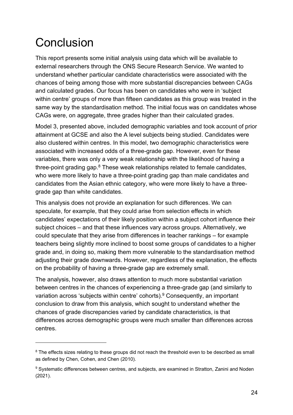### <span id="page-25-0"></span>**Conclusion**

This report presents some initial analysis using data which will be available to external researchers through the ONS Secure Research Service. We wanted to understand whether particular candidate characteristics were associated with the chances of being among those with more substantial discrepancies between CAGs and calculated grades. Our focus has been on candidates who were in 'subject within centre' groups of more than fifteen candidates as this group was treated in the same way by the standardisation method. The initial focus was on candidates whose CAGs were, on aggregate, three grades higher than their calculated grades.

Model 3, presented above, included demographic variables and took account of prior attainment at GCSE and also the A level subjects being studied. Candidates were also clustered within centres. In this model, two demographic characteristics were associated with increased odds of a three-grade gap. However, even for these variables, there was only a very weak relationship with the likelihood of having a three-point grading gap.<sup>8</sup> These weak relationships related to female candidates, who were more likely to have a three-point grading gap than male candidates and candidates from the Asian ethnic category, who were more likely to have a threegrade gap than white candidates.

This analysis does not provide an explanation for such differences. We can speculate, for example, that they could arise from selection effects in which candidates' expectations of their likely position within a subject cohort influence their subject choices – and that these influences vary across groups. Alternatively, we could speculate that they arise from differences in teacher rankings – for example teachers being slightly more inclined to boost some groups of candidates to a higher grade and, in doing so, making them more vulnerable to the standardisation method adjusting their grade downwards. However, regardless of the explanation, the effects on the probability of having a three-grade gap are extremely small.

The analysis, however, also draws attention to much more substantial variation between centres in the chances of experiencing a three-grade gap (and similarly to variation across 'subjects within centre' cohorts).<sup>9</sup> Consequently, an important conclusion to draw from this analysis, which sought to understand whether the chances of grade discrepancies varied by candidate characteristics, is that differences across demographic groups were much smaller than differences across centres.

<sup>&</sup>lt;sup>8</sup> The effects sizes relating to these groups did not reach the threshold even to be described as small as defined by Chen, Cohen, and Chen (2010).

<sup>&</sup>lt;sup>9</sup> Systematic differences between centres, and subjects, are examined in Stratton, Zanini and Noden (2021).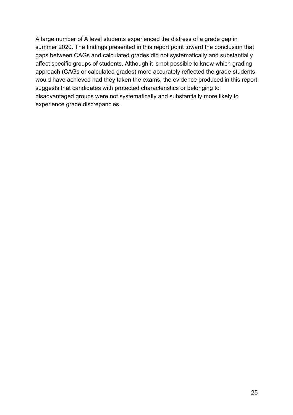A large number of A level students experienced the distress of a grade gap in summer 2020. The findings presented in this report point toward the conclusion that gaps between CAGs and calculated grades did not systematically and substantially affect specific groups of students. Although it is not possible to know which grading approach (CAGs or calculated grades) more accurately reflected the grade students would have achieved had they taken the exams, the evidence produced in this report suggests that candidates with protected characteristics or belonging to disadvantaged groups were not systematically and substantially more likely to experience grade discrepancies.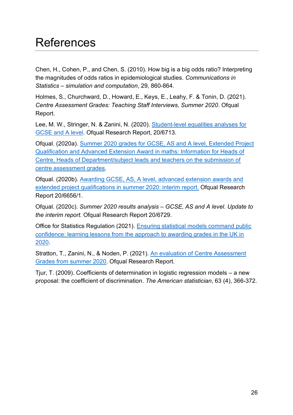### <span id="page-27-0"></span>References

Chen, H., Cohen, P., and Chen, S. (2010). How big is a big odds ratio? Interpreting the magnitudes of odds ratios in epidemiological studies. *Communications in Statistics – simulation and computation*, 29, 860-864.

Holmes, S., Churchward, D., Howard, E., Keys, E., Leahy, F. & Tonin, D. (2021). *Centre Assessment Grades: Teaching Staff Interviews, Summer 2020*. Ofqual Report.

Lee, M. W., Stringer, N. & Zanini, N. (2020). [Student-level equalities analyses for](https://www.gov.uk/government/publications/student-level-equalities-analyses-for-gcse-and-a-level)  [GCSE and A level](https://www.gov.uk/government/publications/student-level-equalities-analyses-for-gcse-and-a-level)*.* Ofqual Research Report, 20/6713.

Ofqual. (2020a). [Summer 2020 grades for GCSE, AS and A level, Extended Project](https://assets.publishing.service.gov.uk/government/uploads/system/uploads/attachment_data/file/887018/Summer_2020_Awarding_GCSEs_A_levels_-_Info_for_Heads_of_Centre_22MAY2020.pdf)  [Qualification and Advanced Extension Award in maths: Information for Heads of](https://assets.publishing.service.gov.uk/government/uploads/system/uploads/attachment_data/file/887018/Summer_2020_Awarding_GCSEs_A_levels_-_Info_for_Heads_of_Centre_22MAY2020.pdf)  [Centre, Heads of Department/subject leads and teachers on the submission of](https://assets.publishing.service.gov.uk/government/uploads/system/uploads/attachment_data/file/887018/Summer_2020_Awarding_GCSEs_A_levels_-_Info_for_Heads_of_Centre_22MAY2020.pdf)  [centre assessment grades](https://assets.publishing.service.gov.uk/government/uploads/system/uploads/attachment_data/file/887018/Summer_2020_Awarding_GCSEs_A_levels_-_Info_for_Heads_of_Centre_22MAY2020.pdf)*.*

Ofqual. (2020b). [Awarding GCSE, AS, A level, advanced extension awards and](https://assets.publishing.service.gov.uk/government/uploads/system/uploads/attachment_data/file/909368/6656-1_Awarding_GCSE__AS__A_level__advanced_extension_awards_and_extended_project_qualifications_in_summer_2020_-_interim_report.pdf)  [extended project qualifications in summer 2020: interim report.](https://assets.publishing.service.gov.uk/government/uploads/system/uploads/attachment_data/file/909368/6656-1_Awarding_GCSE__AS__A_level__advanced_extension_awards_and_extended_project_qualifications_in_summer_2020_-_interim_report.pdf) Ofqual Research Report 20/6656/1.

Ofqual. (2020c). *Summer 2020 results analysis – GCSE, AS and A level. Update to the interim report.* Ofqual Research Report 20/6729.

Office for Statistics Regulation (2021). [Ensuring statistical models command public](https://osr.statisticsauthority.gov.uk/publication/ensuring-statistical-models-command-public-confidence/)  [confidence: learning lessons from the approach to awarding grades in the UK in](https://osr.statisticsauthority.gov.uk/publication/ensuring-statistical-models-command-public-confidence/)  [2020.](https://osr.statisticsauthority.gov.uk/publication/ensuring-statistical-models-command-public-confidence/)

Stratton, T., Zanini, N., & Noden, P. (2021). [An evaluation of Centre Assessment](https://www.gov.uk/government/publications/evaluation-of-centre-assessment-grades-and-grading-gaps-in-summer-2020)  [Grades from summer 2020.](https://www.gov.uk/government/publications/evaluation-of-centre-assessment-grades-and-grading-gaps-in-summer-2020) Ofqual Research Report.

Tjur, T. (2009). Coefficients of determination in logistic regression models – a new proposal: the coefficient of discrimination. *The American statistician*, 63 (4), 366-372.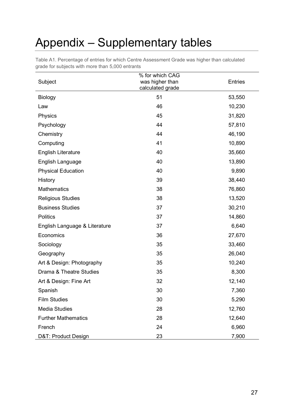### <span id="page-28-0"></span>Appendix – Supplementary tables

| Subject                       | % for which CAG<br>was higher than<br>calculated grade | <b>Entries</b> |
|-------------------------------|--------------------------------------------------------|----------------|
| Biology                       | 51                                                     | 53,550         |
| Law                           | 46                                                     | 10,230         |
| Physics                       | 45                                                     | 31,820         |
| Psychology                    | 44                                                     | 57,810         |
| Chemistry                     | 44                                                     | 46,190         |
| Computing                     | 41                                                     | 10,890         |
| <b>English Literature</b>     | 40                                                     | 35,660         |
| English Language              | 40                                                     | 13,890         |
| <b>Physical Education</b>     | 40                                                     | 9,890          |
| History                       | 39                                                     | 38,440         |
| <b>Mathematics</b>            | 38                                                     | 76,860         |
| <b>Religious Studies</b>      | 38                                                     | 13,520         |
| <b>Business Studies</b>       | 37                                                     | 30,210         |
| <b>Politics</b>               | 37                                                     | 14,860         |
| English Language & Literature | 37                                                     | 6,640          |
| Economics                     | 36                                                     | 27,670         |
| Sociology                     | 35                                                     | 33,460         |
| Geography                     | 35                                                     | 26,040         |
| Art & Design: Photography     | 35                                                     | 10,240         |
| Drama & Theatre Studies       | 35                                                     | 8,300          |
| Art & Design: Fine Art        | 32                                                     | 12,140         |
| Spanish                       | 30                                                     | 7,360          |
| <b>Film Studies</b>           | 30                                                     | 5,290          |
| <b>Media Studies</b>          | 28                                                     | 12,760         |
| <b>Further Mathematics</b>    | 28                                                     | 12,640         |
| French                        | 24                                                     | 6,960          |
| D&T: Product Design           | 23                                                     | 7,900          |

Table A1. Percentage of entries for which Centre Assessment Grade was higher than calculated grade for subjects with more than 5,000 entrants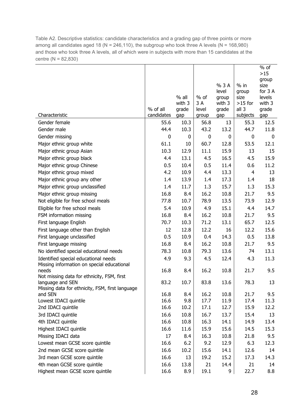Table A2. Descriptive statistics: candidate characteristics and a grading gap of three points or more among all candidates aged 18 (N = 246,110), the subgroup who took three A levels (N = 168,980) and those who took three A levels, all of which were in subjects with more than 15 candidates at the centre (N = 82,830)

|                                                                |                        |              |                |              |                   | % of           |
|----------------------------------------------------------------|------------------------|--------------|----------------|--------------|-------------------|----------------|
|                                                                |                        |              |                |              |                   | $>15$<br>group |
|                                                                |                        |              |                | % 3 A        | $%$ in            | size           |
|                                                                |                        |              |                | level        | group             | for 3 A        |
|                                                                |                        | $%$ all      | $%$ of         | group        | size              | levels         |
|                                                                |                        | with 3       | 3 A            | with 3       | $>15$ for         | with 3         |
| Characteristic                                                 | % of all<br>candidates | grade<br>gap | level<br>group | grade<br>gap | all 3<br>subjects | grade<br>gap   |
| Gender female                                                  | 55.6                   | 10.3         | 56.8           | 13           | 55.3              | 12.5           |
| Gender male                                                    | 44.4                   | 10.3         | 43.2           | 13.2         | 44.7              | 11.8           |
| Gender missing                                                 | 0                      | 0            | 0              | 0            | 0                 | 0              |
| Major ethnic group white                                       | 61.1                   | 10           | 60.7           | 12.8         | 53.5              | 12.1           |
| Major ethnic group Asian                                       | 10.3                   | 12.9         | 11.1           | 15.9         | 13                | 15             |
| Major ethnic group black                                       | 4.4                    | 13.1         | 4.5            | 16.5         | 4.5               | 15.9           |
| Major ethnic group Chinese                                     | 0.5                    | 10.4         | 0.5            | 11.4         | 0.6               | 11.2           |
| Major ethnic group mixed                                       | 4.2                    | 10.9         | 4.4            | 13.3         | 4                 | 13             |
| Major ethnic group any other                                   | 1.4                    | 13.9         | 1.4            | 17.3         | 1.4               | 18             |
| Major ethnic group unclassified                                | 1.4                    | 11.7         | 1.3            | 15.7         | 1.3               | 15.3           |
| Major ethnic group missing                                     | 16.8                   | 8.4          | 16.2           | 10.8         | 21.7              | 9.5            |
| Not eligible for free school meals                             | 77.8                   | 10.7         | 78.9           | 13.5         | 73.9              | 12.9           |
| Eligible for free school meals                                 | 5.4                    | 10.9         | 4.9            | 15.1         | 4.4               | 14.7           |
| FSM information missing                                        | 16.8                   | 8.4          | 16.2           | 10.8         | 21.7              | 9.5            |
| First language English                                         | 70.7                   | 10.3         | 71.2           | 13.1         | 65.7              | 12.5           |
| First language other than English                              | 12                     | 12.8         | 12.2           | 16           | 12.2              | 15.6           |
| First language unclassified                                    | 0.5                    | 10.9         | 0.4            | 14.3         | 0.5               | 13.8           |
| First language missing                                         | 16.8                   | 8.4          | 16.2           | 10.8         | 21.7              | 9.5            |
| No identified special educational needs                        | 78.3                   | 10.8         | 79.3           | 13.6         | 74                | 13.1           |
| Identified special educational needs                           | 4.9                    | 9.3          | 4.5            | 12.4         | 4.3               | 11.3           |
| Missing information on special educational                     |                        |              |                |              |                   |                |
| needs                                                          | 16.8                   | 8.4          | 16.2           | 10.8         | 21.7              | 9.5            |
| Not missing data for ethnicity, FSM, first<br>language and SEN | 83.2                   | 10.7         | 83.8           | 13.6         | 78.3              | 13             |
| Missing data for ethnicity, FSM, first language                |                        |              |                |              |                   |                |
| and SEN                                                        | 16.8                   | 8.4          | 16.2           | 10.8         | 21.7              | 9.5            |
| Lowest IDACI quintile                                          | 16.6                   | 9.8          | 17.7           | 11.9         | 17.4              | 11.3           |
| 2nd IDACI quintile                                             | 16.6                   | 10.2         | 17.1           | 12.7         | 15.9              | 12.2           |
| 3rd IDACI quintile                                             | 16.6                   | 10.8         | 16.7           | 13.7         | 15.4              | 13             |
| 4th IDACI quintile                                             | 16.6                   | 10.8         | 16.3           | 14.1         | 14.9              | 13.4           |
| Highest IDACI quintile                                         | 16.6                   | 11.6         | 15.9           | 15.6         | 14.5              | 15.3           |
| Missing IDACI data                                             | 17                     | 8.4          | 16.3           | 10.8         | 21.8              | 9.5            |
| Lowest mean GCSE score quintile                                | 16.6                   | 6.2          | 9.2            | 12.9         | 6.3               | 12.3           |
| 2nd mean GCSE score quintile                                   | 16.6                   | 10.2         | 15.6           | 14.1         | 12.6              | 14             |
| 3rd mean GCSE score quintile                                   | 16.6                   | 13           | 19.2           | 15.2         | 17.3              | 14.3           |
| 4th mean GCSE score quintile                                   | 16.6                   | 13.8         | 21             | 14.4         | 21                | 14             |
| Highest mean GCSE score quintile                               | 16.6                   | 8.9          | 19.1           | 9            | 22.7              | 8.8            |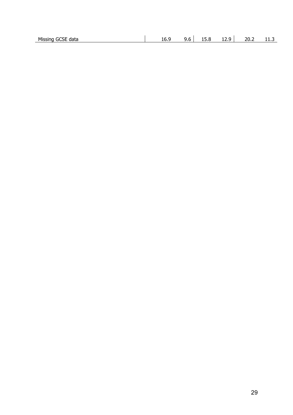| Missing GCSE<br>data | 16.9 | $-$<br>∼<br>J.U | 15.8 | $\overline{\phantom{0}}$<br>12.Y | 20.2 | . |
|----------------------|------|-----------------|------|----------------------------------|------|---|
|                      |      |                 |      |                                  |      |   |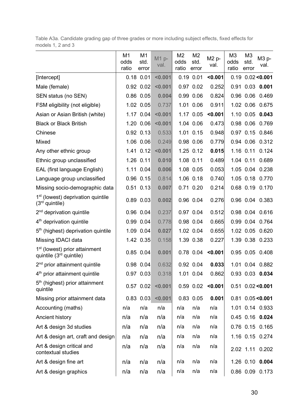Table A3a. Candidate grading gap of three grades or more including subject effects, fixed effects for models 1, 2 and 3

|                                                                        | M1<br>odds<br>ratio | M <sub>1</sub><br>std.<br>error | $M1p-$<br>val. | M <sub>2</sub><br>odds<br>ratio | M <sub>2</sub><br>std.<br>error | M2 p-<br>val. | M <sub>3</sub><br>odds<br>ratio | M3<br>std.<br>error | M3 p-<br>val.         |
|------------------------------------------------------------------------|---------------------|---------------------------------|----------------|---------------------------------|---------------------------------|---------------|---------------------------------|---------------------|-----------------------|
| [Intercept]                                                            |                     | $0.18$ 0.01                     | < 0.001        |                                 | $0.19$ $0.01$                   | < 0.001       |                                 |                     | $0.19$ $0.02 < 0.001$ |
| Male (female)                                                          |                     | $0.92$ $0.02$                   | < 0.001        |                                 | 0.97 0.02                       | 0.252         |                                 |                     | 0.91 0.03 0.001       |
| SEN status (no SEN)                                                    |                     | $0.86$ $0.05$                   | 0.004          |                                 | 0.99 0.06                       | 0.824         |                                 |                     | 0.96 0.06 0.469       |
| FSM eligibility (not eligible)                                         |                     | 1.02 0.05                       | 0.737          |                                 | 1.01 0.06                       | 0.911         |                                 | 1.02 0.06           | 0.675                 |
| Asian or Asian British (white)                                         |                     | $1.17$ 0.04                     | < 0.001        |                                 | 1.17 0.05                       | < 0.001       |                                 |                     | 1.10 0.05 0.043       |
| <b>Black or Black British</b>                                          | 1.20                | 0.06                            | < 0.001        |                                 | 1.04 0.06                       | 0.473         |                                 | 0.98 0.06           | 0.769                 |
| Chinese                                                                |                     | $0.92$ $0.13$                   | 0.533          |                                 | 1.01 0.15                       | 0.948         |                                 | $0.97$ 0.15         | 0.846                 |
| Mixed                                                                  |                     | 1.06 0.06                       | 0.249          |                                 | 0.98 0.06                       | 0.779         |                                 | 0.94 0.06           | 0.312                 |
| Any other ethnic group                                                 |                     | $1.41$ $0.12$                   | < 0.001        |                                 | 1.25 0.12                       | 0.015         |                                 | $1.16$ 0.11         | 0.124                 |
| Ethnic group unclassified                                              |                     | 1.26 0.11                       | 0.010          |                                 | 1.08 0.11                       | 0.489         |                                 | 1.04 0.11           | 0.689                 |
| EAL (first language English)                                           |                     | 1.11 0.04                       | 0.006          |                                 | 1.08 0.05                       | 0.053         |                                 |                     | 1.05 0.04 0.238       |
| Language group unclassified                                            |                     | 0.96 0.15                       | 0.814          |                                 | 1.06 0.18                       | 0.740         |                                 |                     | 1.05 0.18 0.770       |
| Missing socio-demographic data                                         |                     | $0.51$ $0.13$                   | 0.007          |                                 | 0.71 0.20                       | 0.214         |                                 |                     | 0.68 0.19 0.170       |
| 1 <sup>st</sup> (lowest) deprivation quintile<br>$(3rd$ quintile)      |                     | $0.89$ $0.03$                   | 0.002          |                                 | 0.96 0.04                       | 0.276         |                                 |                     | 0.96 0.04 0.383       |
| $2nd$ deprivation quintile                                             |                     | $0.96$ $0.04$                   | 0.237          |                                 | 0.97 0.04                       | 0.512         |                                 |                     | 0.98 0.04 0.616       |
| 4 <sup>th</sup> deprivation quintile                                   |                     | $0.99$ $0.04$                   | 0.778          |                                 | 0.98 0.04                       | 0.665         |                                 |                     | 0.99 0.04 0.764       |
| 5 <sup>th</sup> (highest) deprivation quintile                         |                     | $1.09$ $0.04$                   | 0.027          |                                 | 1.02 0.04                       | 0.655         |                                 | 1.02 0.05           | 0.620                 |
| Missing IDACI data                                                     |                     | 1.42 0.35                       | 0.158          |                                 | 1.39 0.38                       | 0.227         |                                 |                     | 1.39 0.38 0.233       |
| 1 <sup>st</sup> (lowest) prior attainment<br>quintile $(3rd$ quintile) |                     | $0.85$ $0.04$                   | 0.001          |                                 | 0.78 0.04                       | < 0.001       |                                 |                     | 0.95 0.05 0.408       |
| 2 <sup>nd</sup> prior attainment quintile                              |                     | 0.98 0.04                       | 0.632          |                                 | 0.92 0.04                       | 0.033         |                                 |                     | 1.01 0.04 0.882       |
| 4 <sup>th</sup> prior attainment quintile                              |                     | $0.97$ 0.03                     | 0.318          |                                 | 1.01 0.04                       | 0.862         |                                 |                     | 0.93 0.03 0.034       |
| $5th$ (highest) prior attainment<br>quintile                           |                     | $0.57$ $0.02$                   | < 0.001        |                                 | $0.59$ 0.02                     | < 0.001       |                                 |                     | $0.51$ $0.02 < 0.001$ |
| Missing prior attainment data                                          | 0.83                | 0.03                            | < 0.001        |                                 | 0.83 0.05                       | 0.001         |                                 |                     | $0.81$ $0.05 < 0.001$ |
| Accounting (maths)                                                     | n/a                 | n/a                             | n/a            | n/a                             | n/a                             | n/a           |                                 |                     | 1.01 0.14 0.933       |
| Ancient history                                                        | n/a                 | n/a                             | n/a            | n/a                             | n/a                             | n/a           |                                 |                     | 0.45 0.16 0.024       |
| Art & design 3d studies                                                | n/a                 | n/a                             | n/a            | n/a                             | n/a                             | n/a           |                                 |                     | 0.76 0.15 0.165       |
| Art & design art, craft and design                                     | n/a                 | n/a                             | n/a            | n/a                             | n/a                             | n/a           |                                 |                     | 1.16 0.15 0.274       |
| Art & design critical and<br>contextual studies                        | n/a                 | n/a                             | n/a            | n/a                             | n/a                             | n/a           |                                 |                     | 2.02 1.11 0.202       |
| Art & design fine art                                                  | n/a                 | n/a                             | n/a            | n/a                             | n/a                             | n/a           |                                 |                     | 1.26 0.10 0.004       |
| Art & design graphics                                                  | n/a                 | n/a                             | n/a            | n/a                             | n/a                             | n/a           |                                 |                     | 0.86 0.09 0.173       |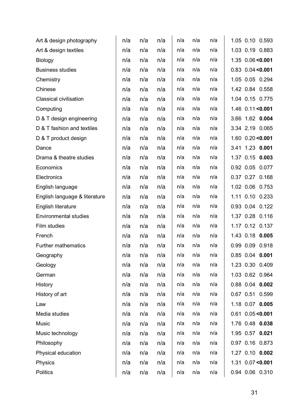| Art & design photography      | n/a | n/a | n/a | n/a | n/a | n/a |  | 1.05 0.10 0.593       |
|-------------------------------|-----|-----|-----|-----|-----|-----|--|-----------------------|
| Art & design textiles         | n/a | n/a | n/a | n/a | n/a | n/a |  | 1.03 0.19 0.883       |
| <b>Biology</b>                | n/a | n/a | n/a | n/a | n/a | n/a |  | 1.35 0.06 < 0.001     |
| <b>Business studies</b>       | n/a | n/a | n/a | n/a | n/a | n/a |  | $0.83$ $0.04 < 0.001$ |
| Chemistry                     | n/a | n/a | n/a | n/a | n/a | n/a |  | 1.05 0.05 0.294       |
| Chinese                       | n/a | n/a | n/a | n/a | n/a | n/a |  | 1.42 0.84 0.558       |
| <b>Classical civilisation</b> | n/a | n/a | n/a | n/a | n/a | n/a |  | 1.04 0.15 0.775       |
| Computing                     | n/a | n/a | n/a | n/a | n/a | n/a |  | 1.46 0.11 < 0.001     |
| D & T design engineering      | n/a | n/a | n/a | n/a | n/a | n/a |  | 3.66 1.62 0.004       |
| D & T fashion and textiles    | n/a | n/a | n/a | n/a | n/a | n/a |  | 3.34 2.19 0.065       |
| D & T product design          | n/a | n/a | n/a | n/a | n/a | n/a |  | 1.60 0.20 < 0.001     |
| Dance                         | n/a | n/a | n/a | n/a | n/a | n/a |  | 3.41 1.23 0.001       |
| Drama & theatre studies       | n/a | n/a | n/a | n/a | n/a | n/a |  | 1.37 0.15 0.003       |
| Economics                     | n/a | n/a | n/a | n/a | n/a | n/a |  | 0.92 0.05 0.077       |
| Electronics                   | n/a | n/a | n/a | n/a | n/a | n/a |  | 0.37 0.27 0.168       |
| English language              | n/a | n/a | n/a | n/a | n/a | n/a |  | 1.02 0.06 0.753       |
| English language & literature | n/a | n/a | n/a | n/a | n/a | n/a |  | 1.11 0.10 0.233       |
| English literature            | n/a | n/a | n/a | n/a | n/a | n/a |  | 0.93 0.04 0.122       |
| <b>Environmental studies</b>  | n/a | n/a | n/a | n/a | n/a | n/a |  | 1.37 0.28 0.116       |
| Film studies                  | n/a | n/a | n/a | n/a | n/a | n/a |  | 1.17 0.12 0.137       |
| French                        | n/a | n/a | n/a | n/a | n/a | n/a |  | 1.43 0.18 0.005       |
| Further mathematics           | n/a | n/a | n/a | n/a | n/a | n/a |  | 0.99 0.09 0.918       |
| Geography                     | n/a | n/a | n/a | n/a | n/a | n/a |  | 0.85 0.04 0.001       |
| Geology                       | n/a | n/a | n/a | n/a | n/a | n/a |  | 1.23 0.30 0.409       |
| German                        | n/a | n/a | n/a | n/a | n/a | n/a |  | 1.03 0.62 0.964       |
| History                       | n/a | n/a | n/a | n/a | n/a | n/a |  | 0.88 0.04 0.002       |
| History of art                | n/a | n/a | n/a | n/a | n/a | n/a |  | 0.67 0.51 0.599       |
| Law                           | n/a | n/a | n/a | n/a | n/a | n/a |  | 1.18 0.07 0.005       |
| Media studies                 | n/a | n/a | n/a | n/a | n/a | n/a |  | $0.61$ $0.05 < 0.001$ |
| Music                         | n/a | n/a | n/a | n/a | n/a | n/a |  | 1.76 0.48 0.038       |
| Music technology              | n/a | n/a | n/a | n/a | n/a | n/a |  | 1.95 0.57 0.021       |
| Philosophy                    | n/a | n/a | n/a | n/a | n/a | n/a |  | 0.97 0.16 0.873       |
| Physical education            | n/a | n/a | n/a | n/a | n/a | n/a |  | 1.27 0.10 0.002       |
| Physics                       | n/a | n/a | n/a | n/a | n/a | n/a |  | $1.31$ 0.07 < 0.001   |
| <b>Politics</b>               | n/a | n/a | n/a | n/a | n/a | n/a |  | 0.94 0.06 0.310       |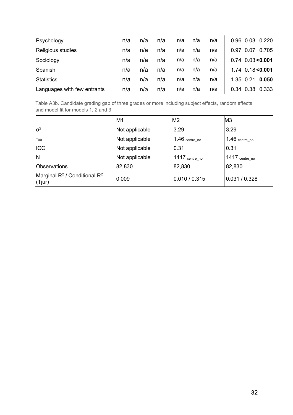| Psychology                  | n/a | n/a | n/a | n/a | n/a | n/a |           | 0.96 0.03 | 0.220               |
|-----------------------------|-----|-----|-----|-----|-----|-----|-----------|-----------|---------------------|
| Religious studies           | n/a | n/a | n/a | n/a | n/a | n/a | 0.97      | 0.07      | 0.705               |
| Sociology                   | n/a | n/a | n/a | n/a | n/a | n/a |           |           | $0.74$ 0.03 < 0.001 |
| Spanish                     | n/a | n/a | n/a | n/a | n/a | n/a |           |           | $1.74$ 0.18 < 0.001 |
| <b>Statistics</b>           | n/a | n/a | n/a | n/a | n/a | n/a | 1.35 0.21 |           | 0.050               |
| Languages with few entrants | n/a | n/a | n/a | n/a | n/a | n/a |           | 0.34 0.38 | 0.333               |

Table A3b. Candidate grading gap of three grades or more including subject effects, random effects and model fit for models 1, 2 and 3

|                                              | M1             | M <sub>2</sub>              | M <sub>3</sub>              |
|----------------------------------------------|----------------|-----------------------------|-----------------------------|
| $\sigma^2$                                   | Not applicable | 3.29                        | 3.29                        |
| $T_{00}$                                     | Not applicable | $1.46$ $_{\rm centre\_no}$  | $1.46$ $_{\rm centre\_no}$  |
| <b>ICC</b>                                   | Not applicable | 0.31                        | 0.31                        |
| N                                            | Not applicable | $1417$ $_{\rm{centre\_no}}$ | $1417$ $_{\rm{centre\_no}}$ |
| Observations                                 | 82,830         | 82,830                      | 82,830                      |
| Marginal $R^2$ / Conditional $R^2$<br>(Tjur) | 0.009          | 0.010 / 0.315               | 0.031 / 0.328               |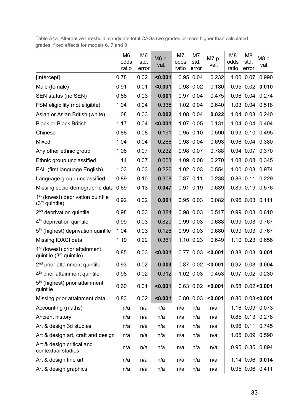Table A4a. Alternative threshold: candidate total CAGs two grades or more higher than calculated grades, fixed effects for models 6, 7 and 8

|                                                                        | M <sub>6</sub><br>odds<br>ratio | M <sub>6</sub><br>std.<br>error | M6 p-<br>val. | M7<br>odds<br>ratio | M7<br>std.<br>error | M7 p-<br>val. | M <sub>8</sub><br>odds<br>ratio | M8<br>std.<br>error | M8 p-<br>val.         |
|------------------------------------------------------------------------|---------------------------------|---------------------------------|---------------|---------------------|---------------------|---------------|---------------------------------|---------------------|-----------------------|
| [Intercept]                                                            | 0.78                            | 0.02                            | < 0.001       |                     | 0.95 0.04           | 0.232         |                                 | 1.00 0.07           | 0.990                 |
| Male (female)                                                          | 0.91                            | 0.01                            | < 0.001       |                     | 0.98 0.02           | 0.180         |                                 | $0.95$ 0.02         | 0.010                 |
| SEN status (no SEN)                                                    | 0.88                            | 0.03                            | 0.001         |                     | 0.97 0.04           | 0.475         |                                 | 0.96 0.04           | 0.274                 |
| FSM eligibility (not eligible)                                         | 1.04                            | 0.04                            | 0.335         |                     | 1.02 0.04           | 0.640         |                                 | 1.03 0.04           | 0.518                 |
| Asian or Asian British (white)                                         | 1.08                            | 0.03                            | 0.002         |                     | 1.08 0.04           | 0.022         |                                 |                     | 1.04 0.03 0.240       |
| <b>Black or Black British</b>                                          | 1.17                            | 0.04                            | < 0.001       |                     | 1.07 0.05           | 0.131         |                                 | 1.04 0.04           | 0.404                 |
| Chinese                                                                | 0.88                            | 0.08                            | 0.191         |                     | 0.95 0.10           | 0.590         |                                 | $0.93$ 0.10         | 0.495                 |
| Mixed                                                                  | 1.04                            | 0.04                            | 0.286         |                     | 0.98 0.04           | 0.693         |                                 | 0.96 0.04           | 0.380                 |
| Any other ethnic group                                                 | 1.08                            | 0.07                            | 0.232         |                     | 0.98 0.07           | 0.788         |                                 | 0.94 0.07           | 0.370                 |
| Ethnic group unclassified                                              | 1.14                            | 0.07                            | 0.053         |                     | 1.09 0.08           | 0.270         |                                 | 1.08 0.08           | 0.345                 |
| EAL (first language English)                                           | 1.03                            | 0.03                            | 0.226         |                     | 1.02 0.03           | 0.554         |                                 | 1.00 0.03           | 0.974                 |
| Language group unclassified                                            | 0.89                            | 0.10                            | 0.308         |                     | $0.87$ $0.11$       | 0.238         |                                 | $0.86$ 0.11         | 0.229                 |
| Missing socio-demographic data                                         | 0.69                            | 0.13                            | 0.047         |                     | 0.91 0.19           | 0.639         |                                 |                     | 0.89 0.19 0.576       |
| 1 <sup>st</sup> (lowest) deprivation quintile<br>$(3rd$ quintile)      | 0.92                            | 0.02                            | 0.001         |                     | 0.95 0.03           | 0.082         |                                 |                     | 0.96 0.03 0.111       |
| $2nd$ deprivation quintile                                             | 0.98                            | 0.03                            | 0.384         |                     | 0.98 0.03           | 0.517         |                                 | 0.99 0.03           | 0.610                 |
| 4 <sup>th</sup> deprivation quintile                                   | 0.99                            | 0.03                            | 0.820         |                     | 0.99 0.03           | 0.688         |                                 | 0.99 0.03           | 0.767                 |
| 5 <sup>th</sup> (highest) deprivation quintile                         | 1.04                            | 0.03                            | 0.126         |                     | 0.99 0.03           | 0.680         |                                 |                     | 0.99 0.03 0.767       |
| Missing IDACI data                                                     | 1.19                            | 0.22                            | 0.361         |                     | 1.10 0.23           | 0.649         |                                 |                     | 1.10 0.23 0.656       |
| 1 <sup>st</sup> (lowest) prior attainment<br>quintile $(3rd$ quintile) | 0.85                            | 0.03                            | < 0.001       |                     | 0.77 0.03           | < 0.001       |                                 |                     | 0.88 0.03 0.001       |
| $2nd$ prior attainment quintile                                        | 0.93                            | 0.02                            | 0.009         |                     | $0.87$ 0.02         | < 0.001       |                                 |                     | 0.92 0.03 0.004       |
| 4 <sup>th</sup> prior attainment quintile                              | 0.98                            | 0.02                            | 0.312         |                     | 1.02 0.03           | 0.453         |                                 |                     | 0.97 0.02 0.230       |
| $5th$ (highest) prior attainment<br>quintile                           | 0.60                            | 0.01                            | < 0.001       |                     | 0.63 0.02           | < 0.001       |                                 |                     | $0.58$ 0.02 < 0.001   |
| Missing prior attainment data                                          | 0.83                            | 0.02                            | < 0.001       |                     | 0.80 0.03           | < 0.001       |                                 |                     | $0.80$ $0.03 < 0.001$ |
| Accounting (maths)                                                     | n/a                             | n/a                             | n/a           | n/a                 | n/a                 | n/a           |                                 |                     | 1.16 0.09 0.073       |
| Ancient history                                                        | n/a                             | n/a                             | n/a           | n/a                 | n/a                 | n/a           |                                 |                     | 0.85 0.13 0.278       |
| Art & design 3d studies                                                | n/a                             | n/a                             | n/a           | n/a                 | n/a                 | n/a           |                                 |                     | 0.96 0.11 0.745       |
| Art & design art, craft and design                                     | n/a                             | n/a                             | n/a           | n/a                 | n/a                 | n/a           |                                 |                     | 1.05 0.09 0.590       |
| Art & design critical and<br>contextual studies                        | n/a                             | n/a                             | n/a           | n/a                 | n/a                 | n/a           |                                 |                     | 0.95 0.35 0.894       |
| Art & design fine art                                                  | n/a                             | n/a                             | n/a           | n/a                 | n/a                 | n/a           |                                 |                     | 1.14 0.06 0.014       |
| Art & design graphics                                                  | n/a                             | n/a                             | n/a           | n/a                 | n/a                 | n/a           |                                 |                     | 0.95 0.06 0.411       |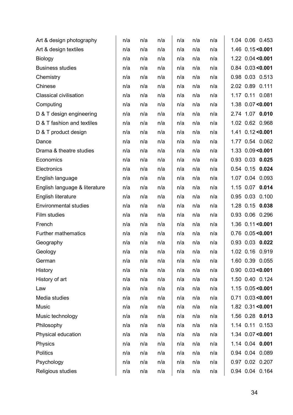| Art & design photography      | n/a | n/a | n/a | n/a | n/a | n/a | 1.04 0.06 0.453       |       |
|-------------------------------|-----|-----|-----|-----|-----|-----|-----------------------|-------|
| Art & design textiles         | n/a | n/a | n/a | n/a | n/a | n/a | 1.46 0.15 < 0.001     |       |
| Biology                       | n/a | n/a | n/a | n/a | n/a | n/a | $1.22$ $0.04 < 0.001$ |       |
| <b>Business studies</b>       | n/a | n/a | n/a | n/a | n/a | n/a | $0.84$ $0.03 < 0.001$ |       |
| Chemistry                     | n/a | n/a | n/a | n/a | n/a | n/a | 0.98 0.03 0.513       |       |
| Chinese                       | n/a | n/a | n/a | n/a | n/a | n/a | 2.02 0.89 0.111       |       |
| <b>Classical civilisation</b> | n/a | n/a | n/a | n/a | n/a | n/a | 1.17 0.11 0.081       |       |
| Computing                     | n/a | n/a | n/a | n/a | n/a | n/a | 1.38 0.07 < 0.001     |       |
| D & T design engineering      | n/a | n/a | n/a | n/a | n/a | n/a | 2.74 1.07 0.010       |       |
| D & T fashion and textiles    | n/a | n/a | n/a | n/a | n/a | n/a | 1.02 0.62 0.968       |       |
| D & T product design          | n/a | n/a | n/a | n/a | n/a | n/a | 1.41 0.12 < 0.001     |       |
| Dance                         | n/a | n/a | n/a | n/a | n/a | n/a | 1.77 0.54 0.062       |       |
| Drama & theatre studies       | n/a | n/a | n/a | n/a | n/a | n/a | 1.33 0.09<0.001       |       |
| Economics                     | n/a | n/a | n/a | n/a | n/a | n/a | 0.93 0.03 0.025       |       |
| Electronics                   | n/a | n/a | n/a | n/a | n/a | n/a | 0.54 0.15 0.024       |       |
| English language              | n/a | n/a | n/a | n/a | n/a | n/a | 1.07 0.04 0.093       |       |
| English language & literature | n/a | n/a | n/a | n/a | n/a | n/a | 1.15 0.07             | 0.014 |
| English literature            | n/a | n/a | n/a | n/a | n/a | n/a | 0.95 0.03             | 0.100 |
| <b>Environmental studies</b>  | n/a | n/a | n/a | n/a | n/a | n/a | 1.28 0.15 0.038       |       |
| Film studies                  | n/a | n/a | n/a | n/a | n/a | n/a | 0.93 0.06 0.296       |       |
| French                        | n/a | n/a | n/a | n/a | n/a | n/a | 1.36 0.11 < 0.001     |       |
| Further mathematics           | n/a | n/a | n/a | n/a | n/a | n/a | $0.76$ $0.05 < 0.001$ |       |
| Geography                     | n/a | n/a | n/a | n/a | n/a | n/a | 0.93 0.03 0.022       |       |
| Geology                       | n/a | n/a | n/a | n/a | n/a | n/a | 1.02 0.16 0.919       |       |
| German                        | n/a | n/a | n/a | n/a | n/a | n/a | 1.60 0.39 0.055       |       |
| History                       | n/a | n/a | n/a | n/a | n/a | n/a | $0.90$ $0.03 < 0.001$ |       |
| History of art                | n/a | n/a | n/a | n/a | n/a | n/a | 1.50 0.40 0.124       |       |
| Law                           | n/a | n/a | n/a | n/a | n/a | n/a | 1.15 0.05 < 0.001     |       |
| Media studies                 | n/a | n/a | n/a | n/a | n/a | n/a | $0.71$ $0.03 < 0.001$ |       |
| Music                         | n/a | n/a | n/a | n/a | n/a | n/a | 1.82 0.31 < 0.001     |       |
| Music technology              | n/a | n/a | n/a | n/a | n/a | n/a | 1.56 0.28 0.013       |       |
| Philosophy                    | n/a | n/a | n/a | n/a | n/a | n/a | 1.14 0.11 0.153       |       |
| Physical education            | n/a | n/a | n/a | n/a | n/a | n/a | 1.34 0.07 < 0.001     |       |
| Physics                       | n/a | n/a | n/a | n/a | n/a | n/a | 1.14 0.04 0.001       |       |
| <b>Politics</b>               | n/a | n/a | n/a | n/a | n/a | n/a | 0.94 0.04 0.089       |       |
| Psychology                    | n/a | n/a | n/a | n/a | n/a | n/a | 0.97 0.02 0.207       |       |
| Religious studies             | n/a | n/a | n/a | n/a | n/a | n/a | 0.94 0.04 0.164       |       |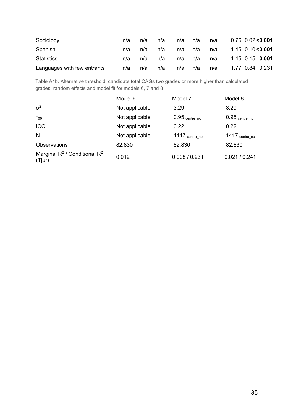| Sociology                   | n/a | n/a | n/a | n/a | n/a | n/a | $0.76$ 0.02 < 0.001 |
|-----------------------------|-----|-----|-----|-----|-----|-----|---------------------|
| Spanish                     | n/a | n/a | n/a | n/a | n/a | n/a | $1.45$ 0.10 < 0.001 |
| <b>Statistics</b>           | n/a | n/a | n/a | n/a | n/a | n/a | 1.45 0.15 0.001     |
| Languages with few entrants | n/a | n/a | n/a | n/a | n/a | n/a | 1.77 0.84 0.231     |

Table A4b. Alternative threshold: candidate total CAGs two grades or more higher than calculated grades, random effects and model fit for models 6, 7 and 8

|                                              | Model 6        | Model 7                    | Model 8                    |  |  |
|----------------------------------------------|----------------|----------------------------|----------------------------|--|--|
| $\sigma^2$                                   | Not applicable | 3.29                       | 3.29                       |  |  |
| $T_{00}$                                     | Not applicable | $0.95$ $_{\rm centre\_no}$ | $0.95$ $_{\rm centre\_no}$ |  |  |
| <b>ICC</b>                                   | Not applicable | 0.22                       | 0.22                       |  |  |
| N                                            | Not applicable | 1417 centre_no             | 1417 centre_no             |  |  |
| <b>Observations</b>                          | 82,830         | 82,830                     | 82,830                     |  |  |
| Marginal $R^2$ / Conditional $R^2$<br>(Tjur) | 0.012          | 0.008 / 0.231              | 0.021 / 0.241              |  |  |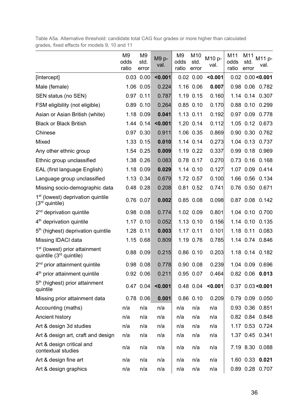Table A5a. Alternative threshold: candidate total CAG four grades or more higher than calculated grades, fixed effects for models 9, 10 and 11

|                                                                        | M <sub>9</sub><br>odds<br>ratio | M <sub>9</sub><br>std.<br>error | M9 p-<br>val. | M9<br>odds<br>ratio | M10<br>std.<br>error | M10 p-<br>val. | M11<br>odds<br>ratio | M11<br>std.<br>error | M11 p-<br>val.        |
|------------------------------------------------------------------------|---------------------------------|---------------------------------|---------------|---------------------|----------------------|----------------|----------------------|----------------------|-----------------------|
| [Intercept]                                                            |                                 | $0.03$ $0.00$                   | < 0.001       |                     | $0.02$ $0.00$        | < 0.001        |                      |                      | $0.02$ $0.00 < 0.001$ |
| Male (female)                                                          |                                 | 1.06 0.05                       | 0.224         |                     | 1.16 0.06            | 0.007          |                      |                      | 0.98 0.06 0.782       |
| SEN status (no SEN)                                                    |                                 | 0.97 0.11                       | 0.787         |                     | 1.19 0.15            | 0.160          |                      |                      | 1.14 0.14 0.307       |
| FSM eligibility (not eligible)                                         |                                 | $0.89$ $0.10$                   | 0.264         |                     | $0.85$ $0.10$        | 0.170          |                      |                      | 0.88 0.10 0.299       |
| Asian or Asian British (white)                                         |                                 | $1.18$ 0.09                     | 0.041         |                     | 1.13 0.11            | 0.192          |                      |                      | 0.97 0.09 0.778       |
| <b>Black or Black British</b>                                          |                                 | $1.44$ $0.14$                   | < 0.001       |                     | 1.20 0.14            | 0.112          |                      |                      | 1.05 0.12 0.673       |
| Chinese                                                                |                                 | $0.97$ $0.30$                   | 0.911         |                     | 1.06 0.35            | 0.869          |                      |                      | 0.90 0.30 0.762       |
| Mixed                                                                  |                                 | 1.33 0.15                       | 0.010         |                     | 1.14 0.14            | 0.273          |                      |                      | 1.04 0.13 0.737       |
| Any other ethnic group                                                 |                                 | 1.54 0.25                       | 0.009         |                     | 1.19 0.22            | 0.337          |                      |                      | 0.99 0.18 0.969       |
| Ethnic group unclassified                                              |                                 | 1.38 0.26                       | 0.083         |                     | 0.78 0.17            | 0.270          |                      |                      | 0.73 0.16 0.168       |
| EAL (first language English)                                           |                                 | $1.18$ 0.09                     | 0.029         |                     | 1.14 0.10            | 0.127          |                      |                      | 1.07 0.09 0.414       |
| Language group unclassified                                            |                                 | 1.13 0.34                       | 0.679         |                     | 1.72 0.57            | 0.100          |                      |                      | 1.66 0.56 0.134       |
| Missing socio-demographic data                                         |                                 | 0.48 0.28                       | 0.208         |                     | 0.81 0.52            | 0.741          |                      |                      | 0.76 0.50 0.671       |
| 1 <sup>st</sup> (lowest) deprivation quintile<br>$(3rd$ quintile)      |                                 | 0.76 0.07                       | 0.002         |                     | 0.85 0.08            | 0.098          |                      |                      | 0.87 0.08 0.142       |
| 2 <sup>nd</sup> deprivation quintile                                   |                                 | $0.98$ 0.08                     | 0.774         |                     | 1.02 0.09            | 0.801          |                      |                      | 1.04 0.10 0.700       |
| 4 <sup>th</sup> deprivation quintile                                   |                                 | $1.17$ 0.10                     | 0.052         |                     | 1.13 0.10            | 0.156          |                      |                      | 1.14 0.10 0.135       |
| 5 <sup>th</sup> (highest) deprivation quintile                         |                                 | 1.28 0.11                       | 0.003         |                     | 1.17 0.11            | 0.101          |                      |                      | 1.18 0.11 0.083       |
| Missing IDACI data                                                     |                                 | 1.15 0.68                       | 0.809         |                     | 1.19 0.76            | 0.785          |                      |                      | 1.14 0.74 0.846       |
| 1 <sup>st</sup> (lowest) prior attainment<br>quintile $(3rd$ quintile) |                                 | $0.88$ $0.09$                   | 0.215         |                     | $0.86$ $0.10$        | 0.203          |                      |                      | 1.18 0.14 0.182       |
| 2 <sup>nd</sup> prior attainment quintile                              |                                 | $0.98$ 0.08                     | 0.778         |                     | $0.90$ $0.08$        | 0.239          |                      |                      | 1.04 0.09 0.696       |
| 4 <sup>th</sup> prior attainment quintile                              |                                 | 0.92 0.06                       | 0.211         |                     | 0.95 0.07            | 0.464          |                      |                      | 0.82 0.06 0.013       |
| 5 <sup>th</sup> (highest) prior attainment<br>quintile                 |                                 | $0.47$ 0.04                     | < 0.001       |                     | 0.48 0.04            | < 0.001        |                      |                      | $0.37$ $0.03 < 0.001$ |
| Missing prior attainment data                                          | 0.78                            | 0.06                            | 0.001         |                     | $0.86$ $0.10$        | 0.209          |                      |                      | 0.79 0.09 0.050       |
| Accounting (maths)                                                     | n/a                             | n/a                             | n/a           | n/a                 | n/a                  | n/a            |                      |                      | 0.93 0.36 0.851       |
| Ancient history                                                        | n/a                             | n/a                             | n/a           | n/a                 | n/a                  | n/a            |                      |                      | 0.82 0.84 0.848       |
| Art & design 3d studies                                                | n/a                             | n/a                             | n/a           | n/a                 | n/a                  | n/a            |                      |                      | 1.17 0.53 0.724       |
| Art & design art, craft and design                                     | n/a                             | n/a                             | n/a           | n/a                 | n/a                  | n/a            |                      |                      | 1.37 0.45 0.341       |
| Art & design critical and<br>contextual studies                        | n/a                             | n/a                             | n/a           | n/a                 | n/a                  | n/a            |                      |                      | 7.19 8.30 0.088       |
| Art & design fine art                                                  | n/a                             | n/a                             | n/a           | n/a                 | n/a                  | n/a            |                      |                      | 1.60 0.33 0.021       |
| Art & design graphics                                                  | n/a                             | n/a                             | n/a           | n/a                 | n/a                  | n/a            |                      |                      | 0.89 0.28 0.707       |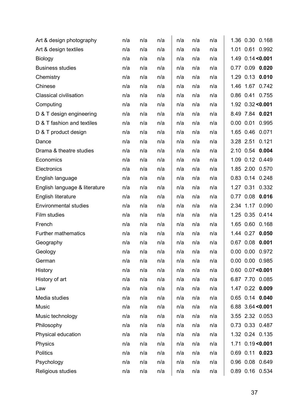| Art & design photography      | n/a | n/a | n/a | n/a | n/a | n/a |      |               | 1.36 0.30 0.168       |
|-------------------------------|-----|-----|-----|-----|-----|-----|------|---------------|-----------------------|
| Art & design textiles         | n/a | n/a | n/a | n/a | n/a | n/a | 1.01 | 0.61          | 0.992                 |
| <b>Biology</b>                | n/a | n/a | n/a | n/a | n/a | n/a |      |               | 1.49 0.14 < 0.001     |
| <b>Business studies</b>       | n/a | n/a | n/a | n/a | n/a | n/a | 0.77 | 0.09          | 0.020                 |
| Chemistry                     | n/a | n/a | n/a | n/a | n/a | n/a |      |               | 1.29 0.13 0.010       |
| Chinese                       | n/a | n/a | n/a | n/a | n/a | n/a | 1.46 |               | 1.67 0.742            |
| <b>Classical civilisation</b> | n/a | n/a | n/a | n/a | n/a | n/a |      |               | 0.86 0.41 0.755       |
| Computing                     | n/a | n/a | n/a | n/a | n/a | n/a |      |               | 1.92 0.32 < 0.001     |
| D & T design engineering      | n/a | n/a | n/a | n/a | n/a | n/a |      |               | 8.49 7.84 0.021       |
| D & T fashion and textiles    | n/a | n/a | n/a | n/a | n/a | n/a |      | $0.00$ $0.01$ | 0.995                 |
| D & T product design          | n/a | n/a | n/a | n/a | n/a | n/a |      | 1.65 0.46     | 0.071                 |
| Dance                         | n/a | n/a | n/a | n/a | n/a | n/a |      | 3.28 2.51     | 0.121                 |
| Drama & theatre studies       | n/a | n/a | n/a | n/a | n/a | n/a |      | 2.10 0.54     | 0.004                 |
| Economics                     | n/a | n/a | n/a | n/a | n/a | n/a | 1.09 |               | 0.12 0.449            |
| Electronics                   | n/a | n/a | n/a | n/a | n/a | n/a |      |               | 1.85 2.00 0.570       |
| English language              | n/a | n/a | n/a | n/a | n/a | n/a |      |               | 0.83 0.14 0.248       |
| English language & literature | n/a | n/a | n/a | n/a | n/a | n/a |      | 1.27 0.31     | 0.332                 |
| English literature            | n/a | n/a | n/a | n/a | n/a | n/a |      | $0.77$ 0.08   | 0.016                 |
| <b>Environmental studies</b>  | n/a | n/a | n/a | n/a | n/a | n/a |      |               | 2.34 1.17 0.090       |
| Film studies                  | n/a | n/a | n/a | n/a | n/a | n/a |      | 1.25 0.35     | 0.414                 |
| French                        | n/a | n/a | n/a | n/a | n/a | n/a |      | 1.65 0.60     | 0.168                 |
| Further mathematics           | n/a | n/a | n/a | n/a | n/a | n/a | 1.44 | 0.27          | 0.050                 |
| Geography                     | n/a | n/a | n/a | n/a | n/a | n/a |      | 0.67 0.08     | 0.001                 |
| Geology                       | n/a | n/a | n/a | n/a | n/a | n/a |      |               | 0.00 0.00 0.972       |
| German                        | n/a | n/a | n/a | n/a | n/a | n/a |      |               | 0.00 0.00 0.985       |
| History                       | n/a | n/a | n/a | n/a | n/a | n/a |      |               | $0.60$ $0.07 < 0.001$ |
| History of art                | n/a | n/a | n/a | n/a | n/a | n/a |      |               | 6.87 7.70 0.085       |
| Law                           | n/a | n/a | n/a | n/a | n/a | n/a |      |               | 1.47 0.22 0.009       |
| Media studies                 | n/a | n/a | n/a | n/a | n/a | n/a |      |               | 0.65 0.14 0.040       |
| Music                         | n/a | n/a | n/a | n/a | n/a | n/a |      |               | $6.88$ 3.64 < 0.001   |
| Music technology              | n/a | n/a | n/a | n/a | n/a | n/a |      |               | 3.55 2.32 0.053       |
| Philosophy                    | n/a | n/a | n/a | n/a | n/a | n/a |      |               | 0.73 0.33 0.487       |
| Physical education            | n/a | n/a | n/a | n/a | n/a | n/a |      |               | 1.32 0.24 0.135       |
| Physics                       | n/a | n/a | n/a | n/a | n/a | n/a |      |               | 1.71 0.19 < 0.001     |
| <b>Politics</b>               | n/a | n/a | n/a | n/a | n/a | n/a |      |               | 0.69 0.11 0.023       |
| Psychology                    | n/a | n/a | n/a | n/a | n/a | n/a |      |               | 0.96 0.08 0.649       |
| Religious studies             | n/a | n/a | n/a | n/a | n/a | n/a |      |               | 0.89 0.16 0.534       |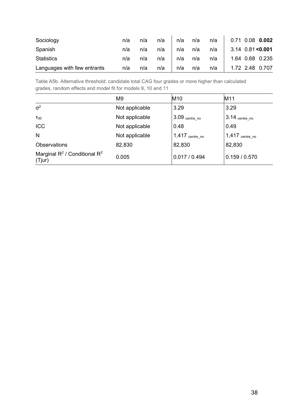| Sociology                   | n/a | n/a | n/a | n/a | n/a | n/a | 0.71 0.08 0.002     |  |
|-----------------------------|-----|-----|-----|-----|-----|-----|---------------------|--|
| Spanish                     | n/a | n/a | n/a | n/a | n/a | n/a | $3.14$ 0.81 < 0.001 |  |
| <b>Statistics</b>           | n/a | n/a | n/a | n/a | n/a | n/a | 1.64 0.68 0.235     |  |
| Languages with few entrants | n/a | n/a | n/a | n/a | n/a | n/a | 1.72 2.48 0.707     |  |

Table A5b. Alternative threshold: candidate total CAG four grades or more higher than calculated grades, random effects and model fit for models 9, 10 and 11

|                                              | M <sub>9</sub> | M <sub>10</sub>            | M11                 |
|----------------------------------------------|----------------|----------------------------|---------------------|
| $\sigma^2$                                   | Not applicable | 3.29                       | 3.29                |
| $T_{00}$                                     | Not applicable | $3.09$ $_{\rm centre\_no}$ | $3.14$ $centre\_no$ |
| ICC                                          | Not applicable | 0.48                       | 0.49                |
| N                                            | Not applicable | $1,417$ centre_no          | $1,417$ centre_no   |
| <b>Observations</b>                          | 82,830         | 82,830                     | 82,830              |
| Marginal $R^2$ / Conditional $R^2$<br>(Tjur) | 0.005          | 0.017 / 0.494              | 0.159 / 0.570       |